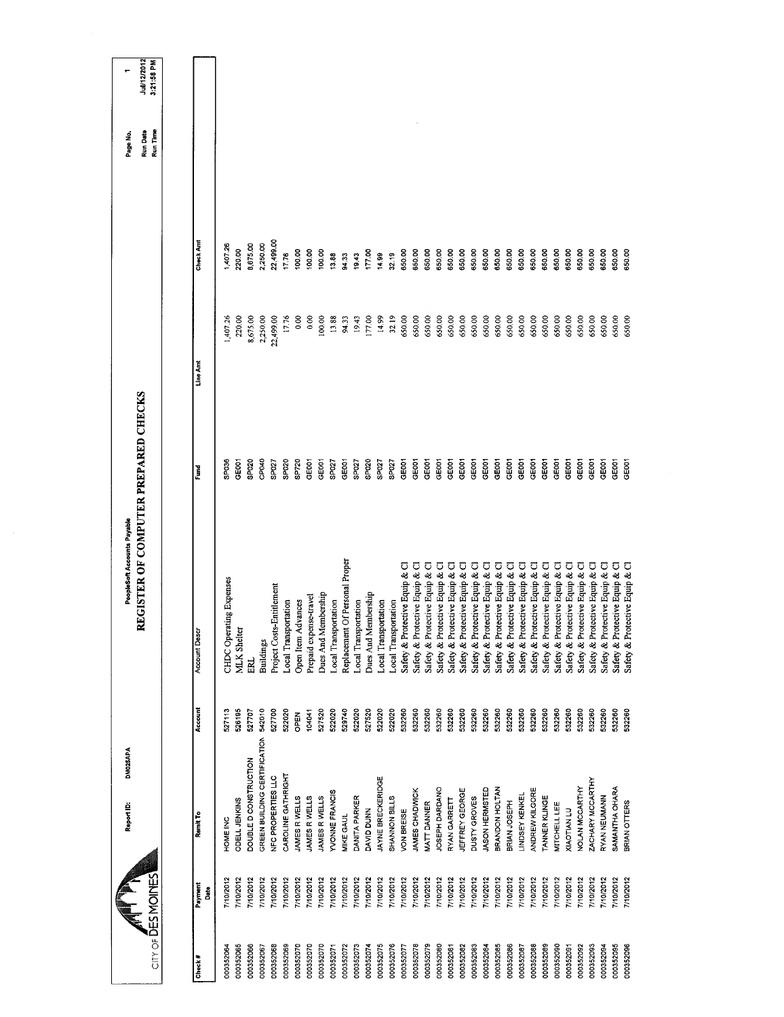| $CITY$ of $DES$ MOINES |              | DM025APA<br>Report ID:       |         | <b>REGISTER OF COMPUTER PREPARED CHECKS</b><br>PeopleSoft Accounts Payable |                   |           |           | Run Time<br><b>Run Date</b><br>Page No. | Jul/12/2012<br>3:21:58 PM |
|------------------------|--------------|------------------------------|---------|----------------------------------------------------------------------------|-------------------|-----------|-----------|-----------------------------------------|---------------------------|
|                        |              |                              |         |                                                                            |                   |           |           |                                         |                           |
| Check #                | Payment<br>Ĉ | Remit To                     | Account | <b>Account Descr</b>                                                       | Fund              | Line Amt  | Check Amt |                                         |                           |
| 000352064              | 7/10/2012    | HOME INC                     | 527113  | CHDC Operating Expenses                                                    | SP036             | 1,407.26  | 407.26    |                                         |                           |
| 000352065              | 7/10/2012    | ODELL JENKINS                | 526195  | MLK Shelter                                                                | GE001             | 220.00    | 220.00    |                                         |                           |
| 000352066              | 7/10/2012    | DOUBLE D CONSTRUCTION        | 527707  | ERL.                                                                       | SP020             | 8,675.00  | 8,675.00  |                                         |                           |
| 000352067              | 7/10/2012    | GREEN BUILDING CERTIFICATION | 542010  | <b>Buildings</b>                                                           | CP040             | 2,250.00  | 2,250.00  |                                         |                           |
| 000352068              | 7/10/2012    | NFC PROPERTIES LLC           | 527700  | Project Costs-Entitlement                                                  | SPO <sub>27</sub> | 22,499.00 | 22,499.00 |                                         |                           |
| 000352069              | 7/10/2012    | CAROLINE GATHRIGHT           | 522020  | ocal Transportation                                                        | SP020             | 17.76     | 17.76     |                                         |                           |
| 000352070              | 7/10/2012    | JAMES R WELLS                | OPEN    | Open Item Advances                                                         | SP720             | 0.00      | 100.00    |                                         |                           |
| 000352070              | 7/10/2012    | JAMES R WELLS                | 104041  | Prepaid expense-travel                                                     | GE001             | 0.00      | 100.00    |                                         |                           |
| 000352070              | 7/10/2012    | JAMES R WELLS                | 527520  | Dues And Membership                                                        | GE001             | 100.00    | 100.00    |                                         |                           |
| 000352071              | 7/10/2012    | <b>YVONNE FRANCIS</b>        | 522020  | Local Transportation                                                       | SP <sub>027</sub> | 13.88     | 13.88     |                                         |                           |
| 000352072              | 710/2012     | MIKE GAUL                    | 529740  | Replacement Of Personal Proper                                             | GE001             | 94.33     | 94.33     |                                         |                           |
| 000352073              | 7/10/2012    | DANITA PARKER                | 522020  | Local Transportation                                                       | SPO27             | 19.43     | 19.43     |                                         |                           |
| 000352074              | 7/10/2012    | DAVID DUNN                   | 527520  | Dues And Membership                                                        | SP020             | 177.00    | 177.00    |                                         |                           |
| 000352075              | 7/10/2012    | JAYNE BRECKERIDGE            | 522020  | Local Transportation                                                       | SP027             | 14.99     | 14.99     |                                         |                           |
| 000352076              | 7/10/2012    | SHANNON BILLS                | 522020  | Local Transportation                                                       | SP <sub>027</sub> | 32.19     | 32.19     |                                         |                           |
| 000352077              | 7/10/2012    | VON BREISE                   | 532260  | Safety & Protective Equip & Cl                                             | GEOD1             | 650.00    | 650.00    |                                         |                           |
| 000352078              | 710/2012     | JAMES CHADWICK               | 532260  | Safety & Protective Equip & Cl                                             | GE001             | 650,00    | 650,00    |                                         |                           |
| 000352079              | 7/10/2012    | MATT DANNER                  | 532260  | Safety & Protective Equip & Cl                                             | GE001             | 650.00    | 650,00    |                                         |                           |
| 000352080              | 7/10/2012    | JOSEPH DARDANO               | 532260  | Safety & Protective Equip & Cl                                             | GEOOT             | 650.00    | 650.00    |                                         |                           |
| 000352081              | 7/10/2012    | RYAN GARRETT                 | 532260  | Safety & Protective Equip & Cl                                             | GE001             | 650.00    | 650.00    |                                         |                           |
| 000352082              | 7/0/2012     | JEFFREY GEORGE               | 532260  | Safety & Protective Equip & Cl                                             | GE001             | 650.00    | 650.00    |                                         |                           |
| 000352083              | 7/10/2012    | DUSTY GROVES                 | 532260  | Safety & Protective Equip & Cl                                             | GE001             | 650.00    | 650.00    |                                         |                           |
| 000352084              | 7/10/2012    | JASON HERMSTED               | 532260  | Safety & Protective Equip & Cl                                             | GE001             | 650.00    | 650.00    |                                         |                           |
| 000352085              | 7/10/2012    | BRANDON HOLTAN               | 532260  | Safety & Protective Equip & Cl                                             | GE001             | 650.00    | 650.00    |                                         |                           |
| 000352086              | 7/10/2012    | BRIAN JOSEPH                 | 532260  | Safety & Protective Equip & Cl                                             | GEOD1             | 650.00    | 650,00    |                                         |                           |
| 000352087              | 7/10/2012    | <b>LINDSEY KENKEL</b>        | 532260  | Safety & Protective Equip & Cl                                             | GEOD1             | 650.00    | 650.00    |                                         |                           |
| 000352088              | 7/10/2012    | ANDREW KILGORE               | 532260  | Safety & Protective Equip & Cl                                             | GE001             | 650.00    | 650.00    |                                         |                           |
| 000352089              | 7/10/2012    | TANNER KLINGE                | 532260  | Safety & Protective Equip & Cl                                             | GE001             | 650.00    | 650.00    |                                         |                           |
| 000352090              | 7/10/2012    | <b>MITCHELL LEE</b>          | 532260  | Safety & Protective Equip & Cl                                             | GEOOT             | 650.00    | 650.00    |                                         |                           |
| 000352091              | 7/10/2012    | <b>XIAOTIAN LU</b>           | 532260  | Safety & Protective Equip & Cl                                             | GEOOT             | 650.00    | 650.00    |                                         |                           |
| 000352092              | 7/10/2012    | NOLAN MCCARTHY               | 532260  | Safety & Protective Equip & Cl                                             | GEOD1             | 650.00    | 650.00    |                                         |                           |
| 000352093              | 7/10/2012    | ZACHARY MCCARTHY             | 532260  | Safety & Protective Equip & Cl                                             | GE001             | 650.00    | 650.00    |                                         |                           |
| 000352094              | 7/10/2012    | RYAN NEUMANN                 | 532260  | Safety & Protective Equip & Cl                                             | GE001             | 650.00    | 650.00    |                                         |                           |
| 000352095              | 110/2012     | SAMANTHA OHARA               | 532260  | Safety & Protective Equip & Cl                                             | GE001             | 650.00    | 650,00    |                                         |                           |
| 000352096              | 7/10/2012    | BRIAN OTTERS                 | 532260  | Safety & Protective Equip & Cl                                             | GE001             | 650,00    | 650.00    |                                         |                           |
|                        |              |                              |         |                                                                            |                   |           |           |                                         |                           |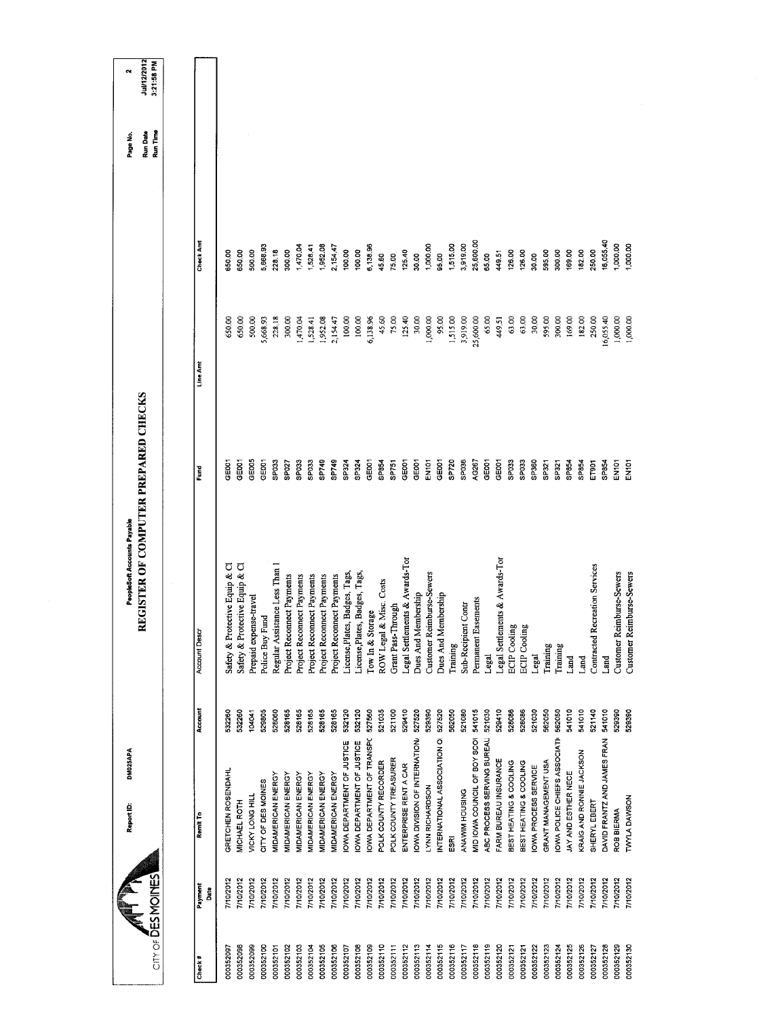|                                |                 | DM025APA<br>Report ID:           |         | PeopleSoft Accounts Payable          |                   |           |           | Page No.             | $\mathbf{\tilde{c}}$             |
|--------------------------------|-----------------|----------------------------------|---------|--------------------------------------|-------------------|-----------|-----------|----------------------|----------------------------------|
| $CITY OF \overline{D}ES MOMES$ |                 |                                  |         | REGISTER OF COMPUTER PREPARED CHECKS |                   |           |           | Run Date<br>Run Time | <b>Jul/12/2012</b><br>3:21:58 PM |
|                                |                 |                                  |         |                                      |                   |           |           |                      |                                  |
| Check#                         | Payment<br>Date | Remit To                         | Account | <b>Account Descr</b>                 | Ě                 | Line Amt  | Check Amt |                      |                                  |
| 000352097                      | 7/10/2012       | GRETCHEN ROSENDAHL               | 532260  | Safety & Protective Equip & Cl       | <b>GEOOT</b>      | 650.00    | 650.00    |                      |                                  |
| 000352098                      | 7/10/2012       | MICHAEL ROTH                     | 532260  | Safety & Protective Equip & Cl       | GEOOT             | 650.00    | 65000     |                      |                                  |
| 000352099                      | 7/10/2012       | VICKY LONG HILL                  | 104041  | Prepaid expense-travel               | GEOOS             | 500.00    | 500.00    |                      |                                  |
| 000352100                      | 7/10/2012       | CITY OF DES MOINES               | 529805  | Police Buy Fund                      | GE001             | 5,668.93  | 5,668.93  |                      |                                  |
| 000352101                      | 7/10/2012       | <b>MIDAMERICAN ENERGY</b>        | 528060  | Regular Assistance Less Than i       | SP <sub>033</sub> | 228.18    | 228.18    |                      |                                  |
| 000352102                      | 7/10/2012       | MIDAMERICAN ENERGY               | 528165  | Project Reconnect Payments           | SP027             | 300.00    | 300.00    |                      |                                  |
| 000352103                      | 7/10/2012       | MIDAMERICAN ENERGY               | 528165  | Project Reconnect Payments           | SPO33             | 1,470.04  | 1,470.04  |                      |                                  |
| 000352104                      | 7/10/2012       | MIDAMERICAN ENERGY               | 528165  | Project Reconnect Payments           | SPO33             | 1,528.41  | 1,528.41  |                      |                                  |
| 000352105                      | 7/10/2012       | <b>MIDAMERICAN ENERGY</b>        | 528165  | Project Reconnect Payments           | SP749             | 1,952.08  | 1,952.08  |                      |                                  |
| 000352106                      | 7/10/2012       | MIDAMERICAN ENERGY               | 528165  | Project Reconnect Payments           | SP749             | 2,154.47  | 2,154.47  |                      |                                  |
| 000352107                      | 7/10/2012       | OWA DEPARTMENT OF JUSTICE        | 532120  | License, Plates, Badges, Tags,       | SP324             | 100,00    | 100.00    |                      |                                  |
| 000352108                      | 7/10/2012       | <b>OWA DEPARTMENT OF JUSTICE</b> | 532120  | License, Plates, Badges, Tags,       | SP324             | 100.00    | 100.00    |                      |                                  |
| 000352109                      | //10/2012       | OWA DEPARTMENT OF TRANSPC        | 527560  | Tow In & Storage                     | GE001             | 6,138.96  | 6,138.96  |                      |                                  |
| 000352110                      | 7/10/2012       | POLK COUNTY RECORDER             | 521035  | ROW Legal & Misc. Costs              | SP854             | 45.60     | 45.60     |                      |                                  |
| 000352111                      | 7/10/2012       | POLK COUNTY TREASURER            | 521100  | Grant Pass-Through                   | SP751             | 75.00     | 75.00     |                      |                                  |
| 000352112                      | 7/10/2012       | ENTERPRISE RENT A CAR            | 529410  | Legal Settlements & Awards-Tor       | GE001             | 125,40    | 125.40    |                      |                                  |
| 000352113                      | 7/10/2012       | OWA DIVISION OF INTERNATION      | 527520  | Dues And Membership                  | GE001             | 30,00     | 30.00     |                      |                                  |
| 000352114                      | 7/10/2012       | LYNN RICHARDSON                  | 529390  | Customer Reimburse-Sewers            | EN101             | 1,000.00  | 1,000.00  |                      |                                  |
| 000352115                      | 7/10/2012       | INTERNATIONAL ASSOCIATION OF     | 527520  | Dues And Membership                  | GE001             | 95.00     | 95.00     |                      |                                  |
| 000352116                      | 710/2012        | ESRI                             | 562050  | Training                             | SP720             | 1,515.00  | 1,515.00  |                      |                                  |
| 000352117                      | 7/10/2012       | ANAWIM HOUSING                   | 521080  | Sub-Recipient Contr                  | SPO36             | 3,919.00  | 3,919.00  |                      |                                  |
| 000352118                      | 7/10/2012       | MID IOWA COUNCIL OF BOY SCOI     | 541015  | Easements<br>Pernanent               | AG267             | 25,600.00 | 25,600.00 |                      |                                  |
| 000352119                      | 7/10/2012       | ABC PROCESS SERVING BUREAU       | 521030  | Legal                                | GE001             | 65,00     | 65.00     |                      |                                  |
| 000352120                      | 7/10/2012       | FARM BUREAU INSURANCE            | 529410  | Legal Settlements & Awards-Tor       | GE001             | 449.51    | 449.51    |                      |                                  |
| 000352121                      | 7/10/2012       | BEST HEATING & COOLING           | 528086  | <b>ECIP</b> Cooling                  | SPD33             | 63.00     | 126.00    |                      |                                  |
| 000352121                      | 710/2012        | BEST HEATING & COOLING           | 528086  | <b>ECIP</b> Cooling                  | SPO33             | 63.00     | 126.00    |                      |                                  |
| 000352122                      | 7/10/2012       | OWA PROCESS SERVICE              | 521030  | Legal                                | SP360             | 30,00     | 30.00     |                      |                                  |
| 000352123                      | 7/10/2012       | GRANT MANAGEMENT USA             | 562050  | Training                             | SP321             | 595.00    | 595.00    |                      |                                  |
| 000352124                      | 7/10/2012       | OWA POLICE CHIEFS ASSOCIATI      | 562050  | Training                             | SP321             | 300.00    | 300.00    |                      |                                  |
| 000352125                      | 7/10/2012       | JAY AND ESTHER NECE              | 541010  | Land                                 | SP854             | 169.00    | 169.00    |                      |                                  |
| 000352126                      | 7/10/2012       | KRAIG AND RONNIE JACKSON         | 541010  | Land                                 | SP854             | 182.00    | 182.00    |                      |                                  |
| 000352127                      | 7/10/2012       | SHERYL EBERT                     | 521140  | Recreation Services<br>Contracted    | ET901             | 250.00    | 250.00    |                      |                                  |
| 000352128                      | 7/10/2012       | DAVID FRANTZ AND JAMES FRAN      | 541010  | Land                                 | SP854             | 16,055.40 | 16,055.40 |                      |                                  |
| 000352129                      | 7/10/2012       | ROB BIERMA                       | 529390  | Customer Reimburse-Sewers            | EN <sub>101</sub> | 1,000.00  | 1,000.00  |                      |                                  |
| 000352130                      | 710/2012        | TWYLA DAWSON                     | 529390  | Customer Reimburse-Sewers            | EN <sub>101</sub> | 1,000.00  | 1,000.00  |                      |                                  |
|                                |                 |                                  |         |                                      |                   |           |           |                      |                                  |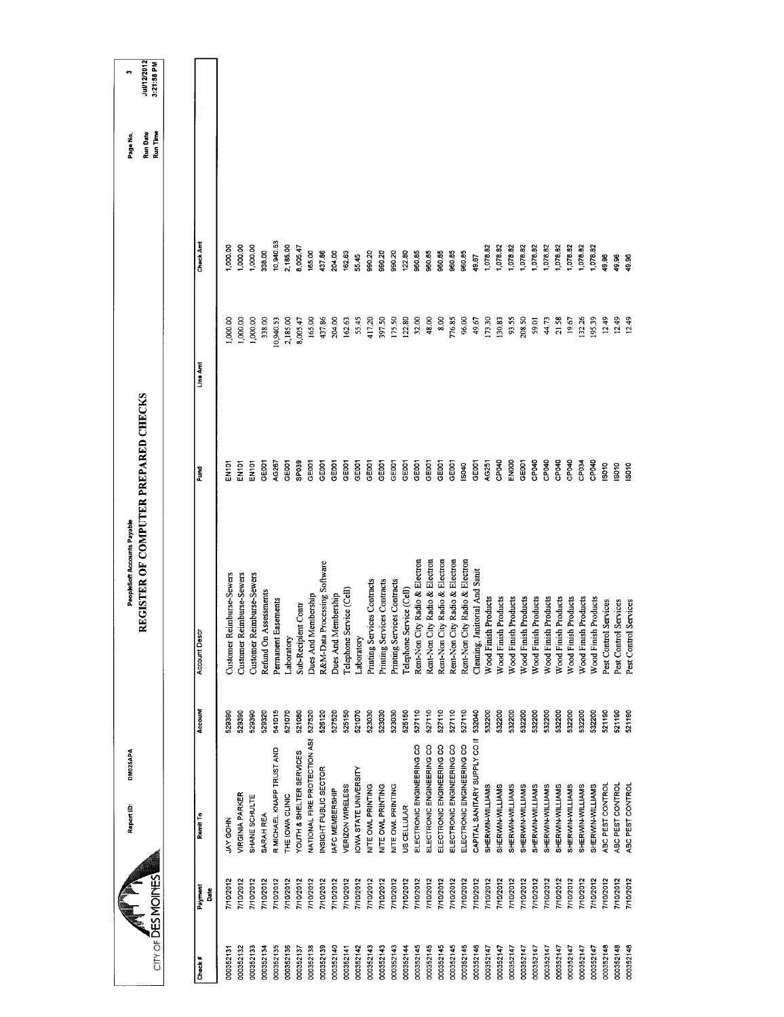| $CITY$ of $\overline{DE}S$ MOINES |                        | DM025APA<br>Report ID:        |         | REGISTER OF COMPUTER PREPARED CHECKS<br>PeopleSoft Accounts Payable |                   |           |                  | Run Time<br>Run Date<br>Page No. | Jul/12/2012<br>3:21:58 PM<br>m |
|-----------------------------------|------------------------|-------------------------------|---------|---------------------------------------------------------------------|-------------------|-----------|------------------|----------------------------------|--------------------------------|
|                                   |                        |                               |         |                                                                     |                   |           |                  |                                  |                                |
| $Check$ #                         | Payment<br><b>Bate</b> | Remit To                      | Account | Account Desc.                                                       | Fund              | Line Amt  | <b>Check Amt</b> |                                  |                                |
| 000352131                         | 7/10/2012              | JAY GOHN                      | 529390  | Customer Reimburse-Sewers                                           | EN101             | 1,000.00  | 1,000.00         |                                  |                                |
| 000352132                         | 7/10/2012              | VIRGINIA PARKER               | 529390  | Customer Reimburse-Sewers                                           | EN101             | 1,000.00  | 1,000.00         |                                  |                                |
| 000352133                         | 710/2012               | SHANE SCHULTE                 | 529390  | Customer Reimburse-Sewers                                           | EN <sub>101</sub> | 1,000.00  | 1,000.00         |                                  |                                |
| 000352134                         | 7/10/2012              | SARAH REA                     | 529320  | Refund On Assessments                                               | GE001             | 338.00    | 338.00           |                                  |                                |
| 000352135                         | 7/10/2012              | R MICHAEL KNAPP TRUST AND     | 541015  | Permanent Easements                                                 | AG267             | 10,940.53 | 10,940.53        |                                  |                                |
| 000352136                         | 7/10/2012              | THE IOWA CLINIC               | 521070  | Laboratory                                                          | GEOOT             | 2,185.00  | 2,185.00         |                                  |                                |
| 000352137                         | 7/10/2012              | YOUTH & SHELTER SERVICES      | 521080  | Sub-Recipient Contr                                                 | SPO39             | 8,005.47  | 8,005.47         |                                  |                                |
| 000352138                         | 7/10/2012              | NATIONAL FIRE PROTECTION ASS  | 527520  | Dues And Membership                                                 | GE001             | 165.00    | 165.00           |                                  |                                |
| 000352139                         | 7/10/2012              | NSIGHT PUBLIC SECTOR          | 526120  | Processing Software<br>R&M-Data                                     | GE001             | 437.86    | 437.86           |                                  |                                |
| 000352140                         | 7/10/2012              | IAFC MEMBERSHIP               | 527520  | Dues And Membership                                                 | GEOOT             | 204.00    | 204.00           |                                  |                                |
| 000352141                         | 7/10/2012              | VERIZON WIRELESS              | 525150  | Telephone Service (Cell)                                            | GE001             | 162.63    | 162.63           |                                  |                                |
| 000352142                         | 7/10/2012              | IOWA STATE UNIVERSITY         | 521070  | Laboratory                                                          | GE001             | 55.45     | 55.45            |                                  |                                |
| 000352143                         | 7/10/2012              | NITE OWL PRINTING             | 523030  | Printing Services Contracts                                         | GE001             | 417.20    | 990.20           |                                  |                                |
| 000352143                         | 7/10/2012              | NITE OWL PRINTING             | 523030  | Printing Services Contracts                                         | GE <sub>001</sub> | 397.50    | 990.20           |                                  |                                |
| 000352143                         | 7/10/2012              | NITE OWL PRINTING             | 523030  | Printing Services Contracts                                         | GE001             | 175.50    | 990.20           |                                  |                                |
| 000352144                         | 7/10/2012              | US CELLULAR                   | 525150  | Telephone Service (Cell)                                            | GE001             | 122.80    | 122.80           |                                  |                                |
| 000352145                         | 7/10/2012              | ELECTRONIC ENGINEERING CO     | 527110  | Rent-Non City Radio & Electron                                      | GE <sub>001</sub> | 32.00     | 960.85           |                                  |                                |
| 000352145                         | 7/10/2012              | ELECTRONIC ENGINEERING CO     | 527110  | Rent-Non City Radio & Electron                                      | GE001             | 48.00     | 960.85           |                                  |                                |
| 000352145                         | 7/10/2012              | ELECTRONIC ENGINEERING CO     | 527110  | Rent-Non City Radio & Electron                                      | GE001             | 8.00      | 960.85           |                                  |                                |
| 000352145                         | 710/2012               | ELECTRONIC ENGINEERING CO     | 527110  | Rent-Non City Radio & Electron                                      | GE <sub>001</sub> | 776.85    | 960.85           |                                  |                                |
| 000352145                         | //10/2012              | ELECTRONIC ENGINEERING CO     | 527110  | Rent-Non City Radio & Electron                                      | IS040             | 96.00     | 960.85           |                                  |                                |
| 000352146                         | 7/10/2012              | CAPITAL SANITARY SUPPLY CO II | 532040  | Cleaning, Janitorial And Sanit                                      | GE001             | 49.67     | 19.67            |                                  |                                |
| 000352147                         | 710/2012               | SHERWIN-WILLIAMS              | 532200  | Wood Finish Products                                                | AG251             | 173.30    | 1,078.82         |                                  |                                |
| 000352147                         | 7/10/2012              | SHERWIN-WILLIAMS              | 532200  | Wood Finish Products                                                | CP040             | 130.83    | 1,078.82         |                                  |                                |
| 000352147                         | 7/10/2012              | SHERWIN-WILLIAMS              | 532200  | <b>Wood Finish Products</b>                                         | ENOOD             | 93.55     | 1,078.82         |                                  |                                |
| 000352147                         | 7/10/2012              | SHERWIN-WILLIAMS              | 532200  | Wood Finish Products                                                | GEOO1             | 208.50    | 1,078.82         |                                  |                                |
| 000352147                         | 7/10/2012              | SHERWIN-WILLIAMS              | 532200  | Wood Finish Products                                                | CP040             | 59.01     | 1,078.82         |                                  |                                |
| 000352147                         | 7/10/2012              | SHERWIN-WILLIAMS              | 532200  | Wood Finish Products                                                | CP040             | 44.73     | 1,078.82         |                                  |                                |
| 000352147                         | 7/10/2012              | SHERWIN-WILLIAMS              | 532200  | <b>Wood Finish Products</b>                                         | CPO40             | 21.58     | 1,078.82         |                                  |                                |
| 000352147                         | 7/10/2012              | SHERWIN-WILLIAMS              | 532200  | Wood Finish Products                                                | CP040             | 19.67     | 1,078.82         |                                  |                                |
| 000352147                         | 7/10/2012              | SHERWIN-WILLIAMS              | 532200  | Wood Finish Products                                                | CP034             | 132.26    | 1,078.82         |                                  |                                |
| 000352147                         | 7/10/2012              | SHERWIN-WILLIAMS              | 532200  | Wood Finish Products                                                | CP <sub>040</sub> | 195.39    | 1,078.82         |                                  |                                |
| 000352148                         | 7/10/2012              | ABC PEST CONTROL              | 521190  | Services<br>Pest Control                                            | 19010             | 12.49     | 49.96            |                                  |                                |
| 000352148                         | 7/10/2012              | ABC PEST CONTROL              | 521190  | Services<br>Pest Control                                            | S010              | 12.49     | 49.96            |                                  |                                |
| 000352148                         | 7/10/2012              | ABC PEST CONTROL              | 521190  | Services<br>Pest Control                                            | <b>SO10</b>       | 12.49     | 49.96            |                                  |                                |
|                                   |                        |                               |         |                                                                     |                   |           |                  |                                  |                                |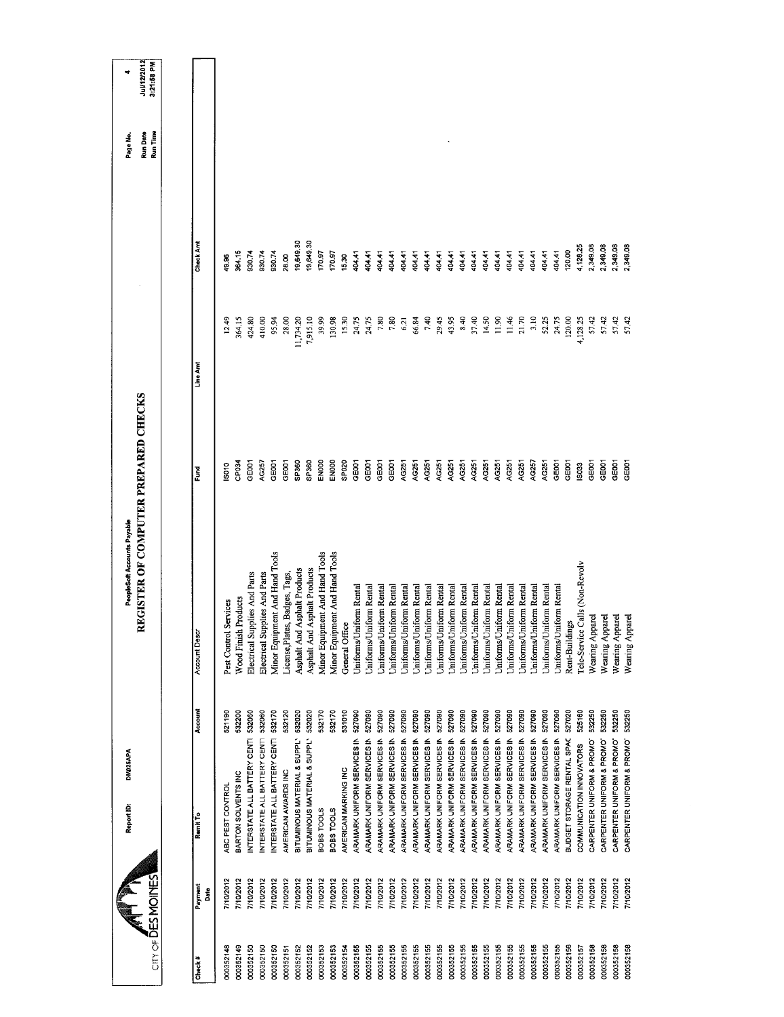|           | $CITY$ of $\overline{D}ES$ MOINES | DM025APA<br>Report ID:       |         | REGISTER OF COMPUTER PREPARED CHECKS<br>PeopleSoft Accounts Payable |                   |           |           | Run Time<br>Run Date<br>Page No. | Jul/12/2012<br>3:21:58 PM<br>۰ |
|-----------|-----------------------------------|------------------------------|---------|---------------------------------------------------------------------|-------------------|-----------|-----------|----------------------------------|--------------------------------|
|           |                                   |                              |         |                                                                     |                   |           |           |                                  |                                |
| Check#    | Payment<br>Date                   | Remit To                     | Account | <b>Account Descr</b>                                                | Fund              | Line Ami  | Check Am  |                                  |                                |
| 000352148 | 7/10/2012                         | ABC PEST CONTROL             | 521190  | Pest Control Services                                               | S010              | 12.49     | 49.96     |                                  |                                |
| 000352149 | 7/10/2012                         | BARTON SOLVENTS INC          | 532200  | <b>Wood Finish Products</b>                                         | CP <sub>034</sub> | 364.15    | 364.15    |                                  |                                |
| 000352150 | 7/10/2012                         | INTERSTATE ALL BATTERY CENTI | 532060  | Electrical Supplies And Parts                                       | GE001             | 424.80    | 930,74    |                                  |                                |
| 000352150 | 7/10/2012                         | NTERSTATE ALL BATTERY CENTI  | 532060  | Electrical Supplies And Parts                                       | AG257             | 410.00    | 930.74    |                                  |                                |
| 000352150 | 7/10/2012                         | INTERSTATE ALL BATTERY CENTI | 532170  | Minor Equipment And Hand Tools                                      | GE <sub>001</sub> | 95,94     | 930.74    |                                  |                                |
| 000352151 | 7/10/2012                         | AMERICAN AWARDS INC          | 532120  | License, Plates, Badges, Tags,                                      | GE001             | 28.00     | 28.00     |                                  |                                |
| 000352152 | 7/10/2012                         | BITUMINOUS MATERIAL & SUPPL' | 532020  | Asphalt And Asphalt Products                                        | SP360             | 11,734.20 | 19,649.30 |                                  |                                |
| 000352152 | 7/10/2012                         | BITUMINOUS MATERIAL & SUPPL' | 532020  | Asphalt And Asphalt Products                                        | SP360             | 7,915.10  | 19,649.30 |                                  |                                |
| 000352153 | 7/10/2012                         | <b>BOBS TOOLS</b>            | 532170  | Minor Equipment And Hand Tools                                      | ENOOO             | 39.99     | 170.97    |                                  |                                |
| 000352153 | 7/10/2012                         | BOBS TOOLS                   | 532170  | Minor Equipment And Hand Tools                                      | EN000             | 130.98    | 170.97    |                                  |                                |
| 000352154 | 7/10/2012                         | AMERICAN MARKING INC         | 531010  | General Office                                                      | SP <sub>020</sub> | 15.30     | 15.30     |                                  |                                |
| 000352155 | 7/10/2012                         | ARAMARK UNIFORM SERVICES IN  | 527090  | Uniforms/Uniform Rental                                             | GE001             | 24.75     | 404.41    |                                  |                                |
| 000352155 | 7/10/2012                         | ARAMARK UNIFORM SERVICES IN  | 527090  | Uniforms/Uniform Rental                                             | GE001             | 24.75     | 404.41    |                                  |                                |
| 000352155 | 7/10/2012                         | ARAMARK UNIFORM SERVICES IN  | 527090  | Uniforms/Uniform Rental                                             | GE001             | 7.80      | 404.41    |                                  |                                |
| 000352155 | 7/10/2012                         | ARAMARK UNIFORM SERVICES IN  | 527090  | Uniforms/Uniform Rental                                             | GEOD1             | $7.80$    | 404.41    |                                  |                                |
| 000352155 | 7/10/2012                         | ARAMARK UNIFORM SERVICES IN  | 527090  | <b>Jniforms/Uniform Rental</b>                                      | AG251             | 621       | 404.41    |                                  |                                |
| 000352155 | 7/10/2012                         | ARAMARK UNIFORM SERVICES IN  | 527090  | Uniforms/Uniform Rental                                             | AG251             | 66.84     | 404.41    |                                  |                                |
| 000352155 | 7/10/2012                         | ARAMARK UNIFORM SERVICES IN  | 527090  | Uniforms/Uniform Rental                                             | AG251             | 740       | 40441     |                                  |                                |
| 000352155 | 7/10/2012                         | ARAMARK UNIFORM SERVICES IN  | 527090  | Uniforms/Uniform Rental                                             | AG251             | 29.45     | 404.41    |                                  |                                |
| 000352155 | 7/10/2012                         | ARAMARK UNIFORM SERVICES IN  | 527090  | Uniforms/Uniform Rental                                             | AG251             | 43.95     | 404.41    |                                  |                                |
| 000352155 | //10/2012                         | ARAMARK UNIFORM SERVICES IN  | 527090  | Uniforms/Uniform Rental                                             | AG251             | 8.40      | 404.41    |                                  |                                |
| 000352155 | 7/10/2012                         | ARAMARK UNIFORM SERVICES IN  | 527090  | Jniforms/Uniform Rental                                             | AG251             | 37.40     | 404.41    |                                  |                                |
| 000352155 | //10/2012                         | ARAMARK UNIFORM SERVICES IN  | 527090  | Uniforms/Uniform Rental                                             | AG251             | 14.50     | 404.41    |                                  |                                |
| 000352155 | 7/10/2012                         | ARAMARK UNIFORM SERVICES IN  | 527090  | Jniforms/Uniform Rental                                             | AG251             | 11.90     | 404.41    |                                  |                                |
| 000352155 | 7/10/2012                         | ARAMARK UNIFORM SERVICES IN  | 527090  | Uniforms/Uniform Rental                                             | AG251             | 11.46     | 404.41    |                                  |                                |
| 000352155 | 7/10/2012                         | ARAMARK UNIFORM SERVICES IN  | 527090  | Jniforms/Uniform Rental                                             | AG251             | 21.70     | 404.41    |                                  |                                |
| 000352155 | 7/10/2012                         | ARAMARK UNIFORM SERVICES IN  | 527090  | Uniforms/Uniform Rental                                             | AG257             | 3.10      | 404.41    |                                  |                                |
| 000352155 | 7/10/2012                         | ARAMARK UNIFORM SERVICES IN  | 527090  | Uniforms/Uniform Rental                                             | AG251             | 52.25     | 404.41    |                                  |                                |
| 000352155 | 7/10/2012                         | ARAMARK UNIFORM SERVICES IN  | 527090  | Uniforms/Uniform Rental                                             | GE001             | 24.75     | 404.41    |                                  |                                |
| 000352156 | 7/10/2012                         | BUDGET STORAGE RENTAL SPAC   | 527020  | Rent-Buildings                                                      | GE001             | 120.00    | 120.00    |                                  |                                |
| 000352157 | 7/10/2012                         | COMMUNICATION INNOVATORS     | 525160  | Tele-Service Calls (Non-Revolv                                      | IS033             | 4,128.25  | 4,128.25  |                                  |                                |
| 000352158 | 7/10/2012                         | CARPENTER UNIFORM & PROMO'   | 532250  | Wearing Apparel                                                     | GE001             | 57.42     | 2,349.08  |                                  |                                |
| 000352158 | 7/10/2012                         | CARPENTER UNIFORM & PROMO'   | 532250  | Wearing Apparel                                                     | GE001             | 57.42     | 2,349.08  |                                  |                                |
| 000352158 | 7/10/2012                         | CARPENTER UNIFORM & PROMO    | 532250  | Wearing Apparel                                                     | <b>GEOOT</b>      | 57.42     | 2,349.08  |                                  |                                |
| 000352158 | 7/10/2012                         | CARPENTER UNIFORM & PROMO    | 532250  | Wearing Apparel                                                     | GE001             | 57.42     | 2,349.08  |                                  |                                |
|           |                                   |                              |         |                                                                     |                   |           |           |                                  |                                |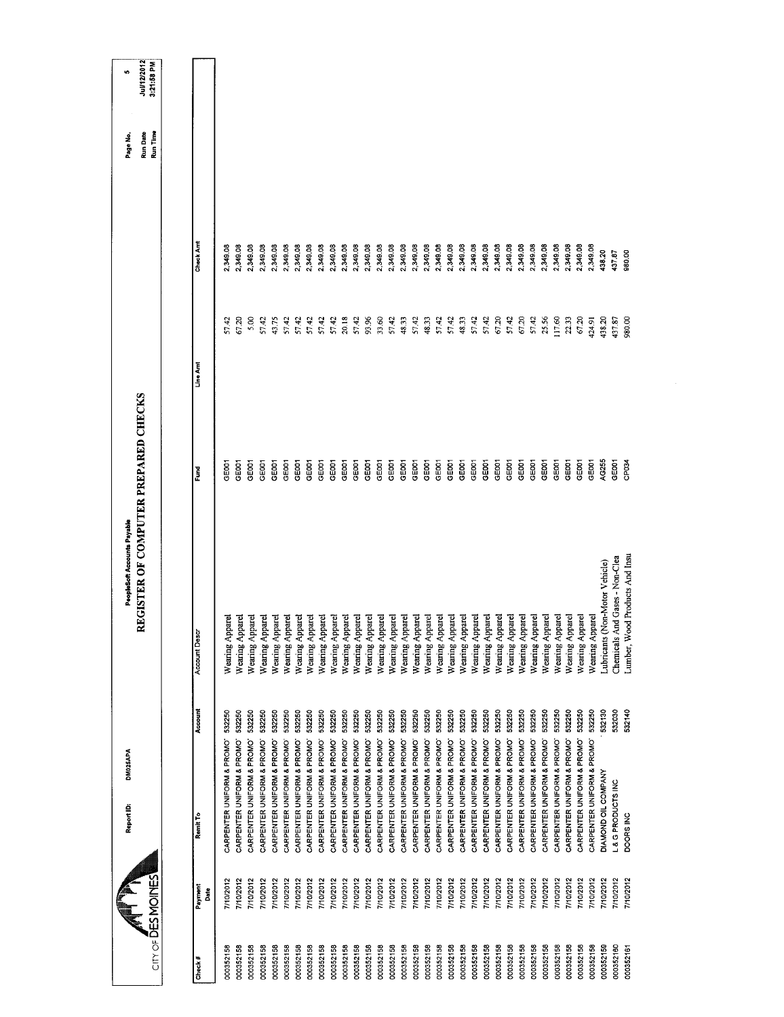| city of DES MOINES           | Report ID:                       | DM025APA                             | REGISTER OF COMPUTER PREPARED CHECKS<br>PeopleSoft Accounts Payable |              |          |           | Run Time<br>Run Date<br>Page No. | Jul/12/2012<br>3:21:58 PM<br>to. |
|------------------------------|----------------------------------|--------------------------------------|---------------------------------------------------------------------|--------------|----------|-----------|----------------------------------|----------------------------------|
|                              |                                  |                                      |                                                                     |              |          |           |                                  |                                  |
| Payment<br>Date<br>$Check$ # | Remit To                         | Account                              | Account Desc                                                        | š            | Line Ant | Check Amt |                                  |                                  |
| 000352158                    | 7/10/2012                        | 532250<br>CARPENTER UNIFORM & PROMO  | Wearing Apparel                                                     | GE001        | 57.42    | 2,349.08  |                                  |                                  |
| 000352158                    | 7/10/2012                        | 532250<br>CARPENTER UNIFORM & PROMO' | Wearing Apparel                                                     | GE001        | 67.20    | 2,349.08  |                                  |                                  |
| 000352158                    | 7/10/2012                        | 532250<br>CARPENTER UNIFORM & PROMO' | Wearing Apparel                                                     | GE001        | 5.00     | 2,349.08  |                                  |                                  |
| 000352158                    | 7/10/2012                        | 532250<br>CARPENTER UNIFORM & PROMO' | Wearing Appare                                                      | GE001        | 57.42    | 2,349.08  |                                  |                                  |
| 000352158                    | 7/10/2012                        | 532250<br>CARPENTER UNIFORM & PROMO' | Wearing Appare                                                      | <b>GEOOT</b> | 43.75    | 2,349.08  |                                  |                                  |
| 000352158                    | 7/10/2012                        | 532250<br>CARPENTER UNIFORM & PROMO  | Wearing Appare                                                      | GEOOT        | 57.42    | 2,349.08  |                                  |                                  |
| 000352158                    | 7/10/2012                        | 532250<br>CARPENTER UNIFORM & PROMO' | Wearing Apparel                                                     | GE001        | 57.42    | 2,349.08  |                                  |                                  |
| 000352158                    | 7/10/2012                        | 532250<br>CARPENTER UNIFORM & PROMO  | Wearing Appare                                                      | GE001        | 57.42    | 2,349.08  |                                  |                                  |
| 000352158                    | 7/10/2012                        | 532250<br>CARPENTER UNIFORM & PROMO  | Wearing Apparel                                                     | GE001        | 57.42    | 2,349.08  |                                  |                                  |
| 000352158                    | 7/10/2012                        | 532250<br>CARPENTER UNIFORM & PROMO' | Wearing Apparel                                                     | GE001        | 57.42    | 2,349.08  |                                  |                                  |
| 000352158                    | 7/10/2012                        | 532250<br>CARPENTER UNIFORM & PROMO' | Wearing Apparel                                                     | GE001        | 20.18    | 2,349.08  |                                  |                                  |
| 000352158                    | 7/10/2012                        | 532250<br>CARPENTER UNIFORM & PROMO' | Wearing Apparel                                                     | GE001        | 57.42    | 2,349.08  |                                  |                                  |
| 000352158                    | 7/10/2012                        | 532250<br>CARPENTER UNIFORM & PROMO' | Wearing Apparel                                                     | GE001        | 93.96    | 2,349.08  |                                  |                                  |
| 000352158                    | 7/10/2012                        | 532250<br>CARPENTER UNIFORM & PROMO' | Wearing Apparel                                                     | GE001        | 33.60    | 2,349.08  |                                  |                                  |
| 000352158                    | 7/10/2012                        | 532250<br>CARPENTER UNIFORM & PROMO  | Wearing Apparel                                                     | GE001        | 57.42    | 2,349.08  |                                  |                                  |
| 000352158                    | 7/10/2012                        | 532250<br>CARPENTER UNIFORM & PROMO' | Wearing Apparel                                                     | GE001        | 48.33    | 2,349.08  |                                  |                                  |
| 000352158                    | 7/10/2012                        | 532250<br>CARPENTER UNIFORM & PROMO  | Wearing Apparel                                                     | GE001        | 57.42    | 2,349.08  |                                  |                                  |
| 000352158                    | 7/10/2012                        | 532250<br>CARPENTER UNIFORM & PROMO  | Wearing Apparel                                                     | GE001        | 48.33    | 2,349.08  |                                  |                                  |
| 000352158                    | 7/10/2012                        | 532250<br>CARPENTER UNIFORM & PROMO" | Wearing Apparel                                                     | GE001        | 57.42    | 2,349.08  |                                  |                                  |
| 000352158                    | 710/2012                         | 532250<br>CARPENTER UNIFORM & PROMO' | Wearing Apparel                                                     | GE001        | 57.42    | 2,349.08  |                                  |                                  |
| 000352158                    | 7/10/2012                        | 532250<br>CARPENTER UNIFORM & PROMO' | Wearing Apparel                                                     | GE001        | 48.33    | 2,349.08  |                                  |                                  |
| 000352158                    | 7/10/2012                        | 532250<br>CARPENTER UNIFORM & PROMO  | Wearing Apparel                                                     | GE001        | 57.42    | 2,349.08  |                                  |                                  |
| 000352158                    | 110/2012                         | 532250<br>CARPENTER UNIFORM & PROMO' | Wearing Apparel                                                     | GE001        | 5742     | 2,349.08  |                                  |                                  |
| 000352158                    | 7/10/2012                        | 532250<br>CARPENTER UNIFORM & PROMO' | Wearing Apparel                                                     | GEOOT        | 67.20    | 2,349.08  |                                  |                                  |
| 000352158                    | 7/10/2012                        | 532250<br>CARPENTER UNIFORM & PROMO" | Wearing Apparel                                                     | GEODT        | 57.42    | 2,349.08  |                                  |                                  |
| 000352158                    | 710/2012                         | 532250<br>CARPENTER UNIFORM & PROMO  | Wearing Apparel                                                     | GE001        | 67.20    | 2,349.08  |                                  |                                  |
| 000352158                    | 7/10/2012                        | 532250<br>CARPENTER UNIFORM & PROMO' | Wearing Apparel                                                     | GE001        | 57.42    | 2,349.08  |                                  |                                  |
| 000352158                    | 7/10/2012                        | 532250<br>CARPENTER UNIFORM & PROMOT | Wearing Apparel                                                     | GE001        | 25.56    | 2,349.08  |                                  |                                  |
| 000352158                    | 7/10/2012                        | 532250<br>CARPENTER UNIFORM & PROMO  | Wearing Apparel                                                     | GE001        | 117.60   | 2,349.08  |                                  |                                  |
| 000352158                    | 7/10/2012                        | 532250<br>CARPENTER UNIFORM & PROMO" | Wearing Apparel                                                     | GE001        | 22.33    | 2,349.08  |                                  |                                  |
| 000352158                    | 710/2012                         | 532250<br>CARPENTER UNIFORM & PROMO' | Wearing Apparel                                                     | <b>GEOOT</b> | 67.20    | 2,349.08  |                                  |                                  |
| 000352158                    | 7/10/2012                        | 532250<br>CARPENTER UNIFORM & PROMO' | Wearing Apparel                                                     | GEOOT        | 424.91   | 2,349.08  |                                  |                                  |
| 000352159                    | DIAMOND OIL COMPANY<br>7/10/2012 | 532130                               | Lubricants (Non-Motor Vehicle)                                      | AG255        | 438.20   | 438.20    |                                  |                                  |
| 000352160                    | L&G PRODUCTS INC<br>710/2012     | 532030                               | Chemicals And Gases - Non-Clea                                      | <b>GEOO1</b> | 437.87   | 437.87    |                                  |                                  |
| 000352161                    | DOORS INC<br>7/10/2012           | 532140                               | ood Products And Insu<br>Lumber, W.                                 | CP034        | 980.00   | 980.00    |                                  |                                  |
|                              |                                  |                                      |                                                                     |              |          |           |                                  |                                  |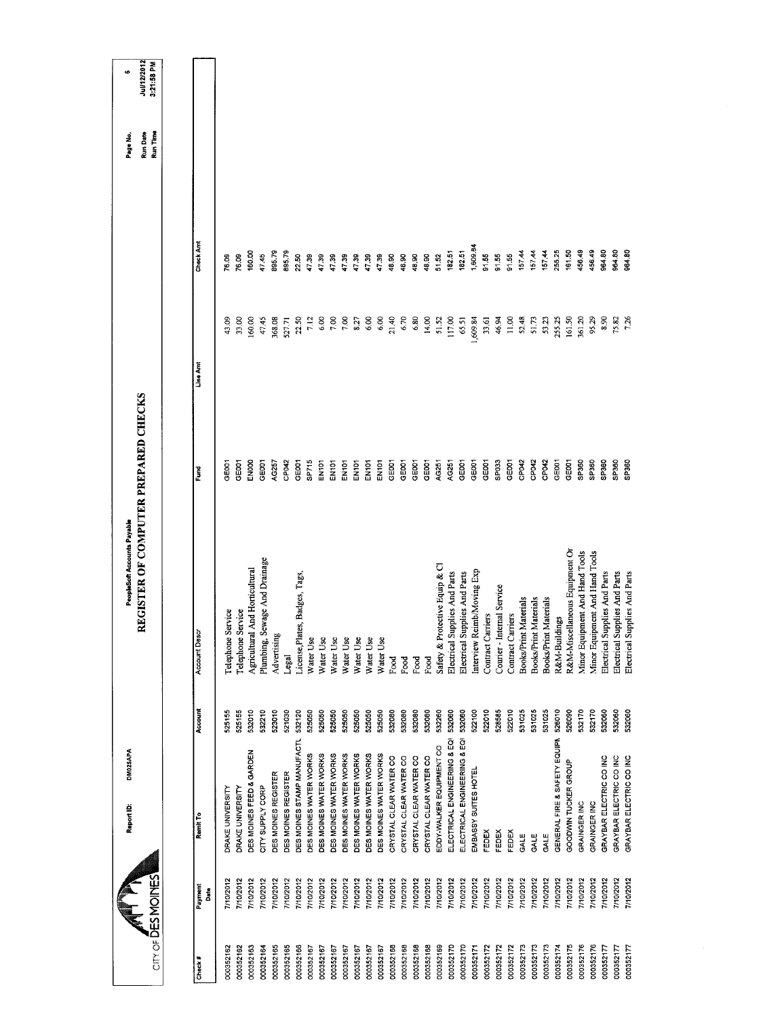| City of DESMOINES          | DM025APA<br>Report ID:       |         | REGISTER OF COMPUTER PREPARED CHECKS<br>PeopleSoft Accounts Payable |                   |          |           | Run Date<br>Run Time<br>Page No. | <b>Jul/12/2012</b><br>3:21:58 PM<br>$\bullet$ |
|----------------------------|------------------------------|---------|---------------------------------------------------------------------|-------------------|----------|-----------|----------------------------------|-----------------------------------------------|
|                            |                              |         |                                                                     |                   |          |           |                                  |                                               |
| Payment<br>Date<br>Check # | Remit To                     | Account | <b>Account Descr</b>                                                | Ĕ                 | Line Amt | Check Amt |                                  |                                               |
| 7/10/2012<br>000352162     | DRAKE UNIVERSITY             | 525155  | Telephone Service                                                   | 3E001             | 43.09    | 76.09     |                                  |                                               |
| 7/10/2012<br>000352162     | DRAKE UNIVERSITY             | 525155  | Telephone Service                                                   | <b>GOOT</b>       | 33.00    | 76.09     |                                  |                                               |
| 7/10/2012<br>000352163     | DES MOINES FEED & GARDEN     | 532010  | And Horticultural<br>Agricultural                                   | EN000             | 160.00   | 160.00    |                                  |                                               |
| 7/10/2012<br>000352164     | CITY SUPPLY CORP             | 532210  | Plumbing, Sewage And Drainage                                       | GE001             | 47.45    | 47.45     |                                  |                                               |
| 7/10/2012<br>000352165     | DES MOINES REGISTER          | 523010  | Advertising                                                         | AG257             | 368.08   | 895.79    |                                  |                                               |
| 7/10/2012<br>000352165     | DES MOINES REGISTER          | 521030  | Legal                                                               | CP042             | 527.71   | 895.79    |                                  |                                               |
| 7/10/2012<br>000352166     | DES MOINES STAMP MANUFACTL   | 532120  | License, Plates, Badges, Tags,                                      | GE001             | 22.50    | 22.50     |                                  |                                               |
| 7/10/2012<br>000352167     | DES MOINES WATER WORKS       | 525050  | Water Use                                                           | SP715             | 7.12     | 4739      |                                  |                                               |
| 7/10/2012<br>000352167     | DES MOINES WATER WORKS       | 525050  | Water Use                                                           | EN101             | 6.00     | 47.39     |                                  |                                               |
| 7/10/2012<br>000352167     | DES MOINES WATER WORKS       | 525050  | Water Use                                                           | EN101             | 7.00     | 47.39     |                                  |                                               |
| 710/2012<br>000352167      | DES MOINES WATER WORKS       | 525050  | Water Use                                                           | EN101             | 7.00     | 4739      |                                  |                                               |
| 7/10/2012<br>000352167     | DES MOINES WATER WORKS       | 525050  | Water Use                                                           | EN101             | 8.27     | 17.39     |                                  |                                               |
| 7/10/2012<br>000352167     | DES MOINES WATER WORKS       | 525050  | Water Use                                                           | <b>EN101</b>      | 6,00     | 47.39     |                                  |                                               |
| /10/2012<br>000352167      | DES MOINES WATER WORKS       | 525050  | Water Use                                                           | EN101             | 6.00     | 47.39     |                                  |                                               |
| 7/10/2012<br>000352168     | CRYSTAL CLEAR WATER CO       | 532080  | Food                                                                | GE <sub>001</sub> | 21.40    | 48.90     |                                  |                                               |
| 7/10/2012<br>000352168     | CRYSTAL CLEAR WATER CO       | 532080  | Food                                                                | GE <sub>001</sub> | 6.70     | 48.90     |                                  |                                               |
| 7/10/2012<br>000352168     | CRYSTAL CLEAR WATER CO       | 532080  | Food                                                                | GE001             | 6.80     | 48.90     |                                  |                                               |
| 7/10/2012<br>000352168     | CRYSTAL CLEAR WATER CO       | 532080  | Food                                                                | GE001             | 14.00    | 48.90     |                                  |                                               |
| 7/10/2012<br>000352169     | EDDY-WALKER EQUIPMENT CO     | 532260  | Safety & Protective Equip & Cl                                      | AG251             | 51.52    | 51.52     |                                  |                                               |
| 7/10/2012<br>000352170     | ELECTRICAL ENGINEERING & EQI | 532060  | Electrical Supplies And Parts                                       | AG251             | 117.00   | 182.51    |                                  |                                               |
| 7/10/2012<br>000352170     | ELECTRICAL ENGINEERING & EQI | 532060  | Electrical Supplies And Parts                                       | GE001             | 65.51    | 182.51    |                                  |                                               |
| 710/2012<br>000352171      | EMBASSY SUITES HOTEL         | 522100  | Interview Reimb/Moving Exp                                          | GEOO1             | 1,609.84 | 1,609.84  |                                  |                                               |
| 7/10/2012<br>000352172     | FEDEX                        | 522010  | Contract Carriers                                                   | GEOOT             | 33.61    | 91.55     |                                  |                                               |
| 7/10/2012<br>000352172     | FEDEX                        | 528585  | Courier - Internal Service                                          | SPO33             | 46.94    | 91.55     |                                  |                                               |
| 7/10/2012<br>000352172     | FEDEX                        | 522010  | Contract Carriers                                                   | GEOD1             | 11,00    | 91.55     |                                  |                                               |
| 7/10/2012<br>000352173     | GALE                         | 531025  | Materials<br><b>Books/Print</b>                                     | CP042             | 52.48    | 157.44    |                                  |                                               |
| 7/10/2012<br>000352173     | GALE                         | 531025  | Materials<br><b>Books/Print</b>                                     | CP042             | 51.73    | 157.44    |                                  |                                               |
| 7/10/2012<br>000352173     | <b>GALE</b>                  | 531025  | Books/Print Materials                                               | CP042             | 53.23    | 157.44    |                                  |                                               |
| 7/10/2012<br>000352174     | GENERAL FIRE & SAFETY EQUIPA | 526010  | R&M-Buildings                                                       | GE001             | 255.25   | 255.25    |                                  |                                               |
| 7/10/2012<br>000352175     | GOODWIN TUCKER GROUP         | 526090  | R&M-Miscellaneous Equipment Or                                      | GEOOT             | 161.50   | 161.50    |                                  |                                               |
| 7/10/2012<br>000352176     | GRAINGER INC                 | 532170  | Minor Equipment And Hand Tools                                      | SP360             | 361.20   | 456.49    |                                  |                                               |
| 7/10/2012<br>000352176     | <b>GRAINGER INC</b>          | 532170  | Minor Equipment And Hand Tools                                      | SP <sub>360</sub> | 95.29    | 456.49    |                                  |                                               |
| 7/10/2012<br>000352177     | GRAYBAR ELECTRIC CO INC      | 532060  | Electrical Supplies And Parts                                       | SP360             | 8.90     | 964.80    |                                  |                                               |
| 7/10/2012<br>000352177     | GRAYBAR ELECTRIC CO INC      | 532060  | Electrical Supplies And Parts                                       | SP360             | 75.82    | 964.80    |                                  |                                               |
| 7/10/2012<br>000352177     | GRAYBAR ELECTRIC CO INC      | 532060  | Electrical Supplies And Parts                                       | <b>OSP360</b>     | 7.26     | 964.80    |                                  |                                               |
|                            |                              |         |                                                                     |                   |          |           |                                  |                                               |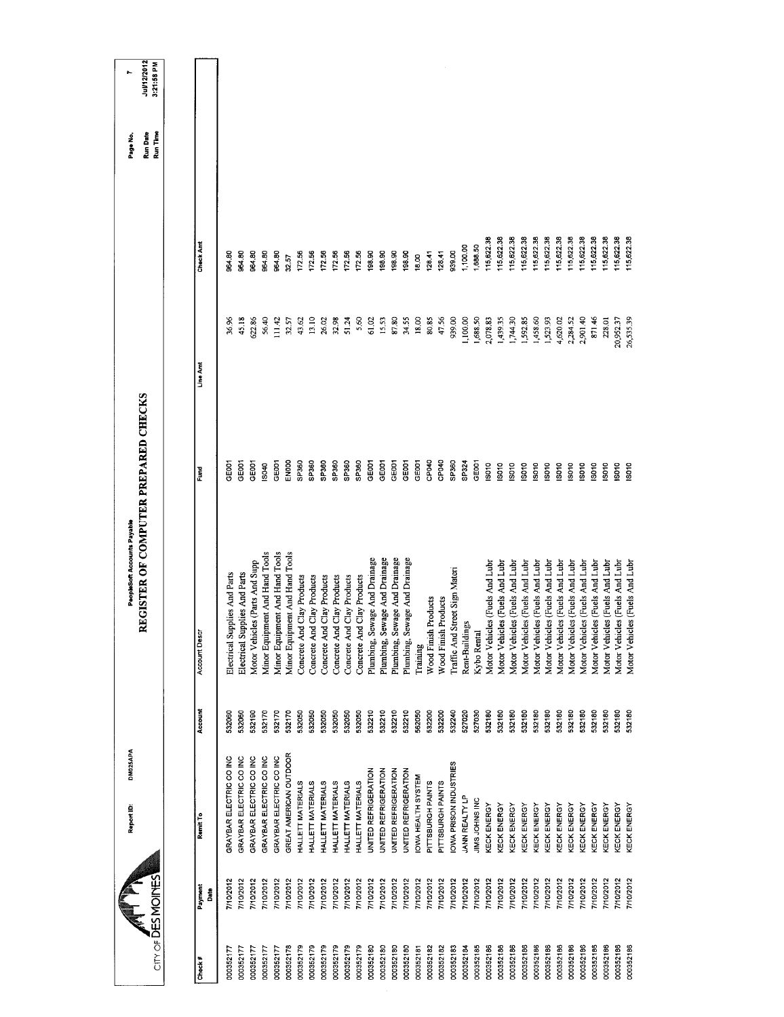| Remit To                    | Account | Account Desc                       | Fund              | Line Amt  | Check Amt |  |
|-----------------------------|---------|------------------------------------|-------------------|-----------|-----------|--|
| GRAYBAR ELECTRIC CO INC     | 532060  | Electrical Supplies And Parts      | GE001             | 36.96     | 964.80    |  |
| GRAYBAR ELECTRIC CO INC     | 532060  | Electrical Supplies And Parts      | <b>GEOOT</b>      | 45.18     | 964.80    |  |
| GRAYBAR ELECTRIC CO INC     | 532190  | Motor Vehicles (Parts And Supp     | <b>POOL</b>       | 622.86    | 964 80    |  |
| GRAYBAR ELECTRIC CO INC     | 532170  | Minor Equipment And Hand Tools     | IS040             | 56.40     | 964.80    |  |
| GRAYBAR ELECTRIC CO INC     | 532170  | Minor Equipment And Hand Tools     | GEODT             | 111.42    | 964.80    |  |
| GREAT AMERICAN OUTDOOR      | 532170  | Minor Equipment And Hand Tools     | <b>ENOOO</b>      | 32.57     | 32.57     |  |
| HALLETT MATERIALS           | 532050  | Concrete And Clay Products         | SP360             | 43.62     | 17256     |  |
| HALLETT MATERIALS           | 532050  | Concrete And Clay Products         | SP360             | 13.10     | 172.56    |  |
| HALLETT MATERIALS           | 532050  | Concrete And Clay Products         | SP360             | 26.02     | 172.56    |  |
| HALLETT MATERIALS           | 532050  | Concrete And Clay Products         | SP360             | 32.98     | 172.56    |  |
| HALLETT MATERIALS           | 532050  | Concrete And Clay Products         | SP360             | 51.24     | 172.56    |  |
| HALLETT MATERIALS           | 532050  | Concrete And Clay Products         | <b>GP360</b>      | 5,60      | 17256     |  |
| <b>UNITED REFRIGERATION</b> | 532210  | Plumbing, Sewage And Drainage      | GE001             | 61.02     | 198.90    |  |
| UNITED REFRIGERATION        | 532210  | Plumbing, Sewage And Drainage      | GE001             | 15.53     | 198.90    |  |
| UNITED REFRIGERATION        | 532210  | Plumbing, Sewage And Drainage      | GEOOT             | 87.80     | 198.90    |  |
| UNITED REFRIGERATION        | 532210  | ewage And Drainage<br>Plumbing, S  | GE001             | 34.55     | 198.90    |  |
| IOWA HEALTH SYSTEM          | 562050  | Training                           | GEOOT             | 18.00     | 18.00     |  |
| PITTSBURGH PAINTS           | 532200  | Wood Finish Products               | CPO40             | 80.85     | 128.41    |  |
| PITTSBURGH PAINTS           | 532200  | Wood Finish Products               | CP040             | 47.56     | 128.41    |  |
| IOWA PRISON INDUSTRIES      | 532240  | Traffic And Street Sign Materi     | SP360             | 939.00    | 939.00    |  |
| JANN REALTY LP              | 527020  | Rent-Buildings                     | SP324             | 1,100.00  | 1,100.00  |  |
| JIMS JOHNS INC              | 527030  | Kybo Renta                         | GEOO1             | 1,688.50  | 1,688.50  |  |
| KECK ENERGY                 | 532180  | Motor Vehicles (Fuels And Lubr     | IS010             | 2,078.83  | 15,622.38 |  |
| KECK ENERGY                 | 532180  | Motor Vehicles (Fuels And Lubs     | IS010             | 1,439.35  | 15,622.38 |  |
| KECK ENERGY                 | 532180  | Motor Vehicles (Fuels And Lubr     | ISO <sub>10</sub> | 1,744.30  | 15,622.38 |  |
| KECK ENERGY                 | 532180  | Motor Vehicles (Fuels And Lub      | ISO <sub>10</sub> | 1,592.85  | 15,622.38 |  |
| KECK ENERGY                 | 532180  | Motor Vehicles (Fuels And Lub      | <b>ISO10</b>      | 1,458.60  | 15,622.38 |  |
| KECK ENERGY                 | 532180  | Motor Vehicles (Fuels And Lubr     | ISO10             | 1,523.93  | 15,622 38 |  |
| <b>KECK ENERGY</b>          | 532180  | Motor Vehicles (Fuels And Lubr     | So <sub>10</sub>  | 4,620.02  | 15,622.38 |  |
| KECK ENERGY                 | 532180  | Motor Vehicles (Fuels And Lubr     | ISO <sub>10</sub> | 2,284.52  | 15,622 38 |  |
| KECK ENERGY                 | 532180  | Motor Vehicles (Fuels And Lubr     | $rac{1}{5}$       | 2,901.40  | 15,622.38 |  |
| <b><i>CECK ENERGY</i></b>   | 532180  | Motor Vehicles (Fuels And Lubr     | So <sub>10</sub>  | 871.46    | 15,622.38 |  |
| KECK ENERGY                 | 532180  | Motor Vehicles (Fuels And Lubr     | $\frac{8}{3}$     | 228,01    | 15,622.38 |  |
| KECK ENERGY                 | 532180  | Motor Vehicles (Fuels And Lubr     | So <sub>10</sub>  | 20,952.37 | 15,622.38 |  |
| <b><i>CECK ENERGY</i></b>   | 532180  | cles (Fuels And Lubr<br>Motor Vehi | S010              | 26,535.39 |           |  |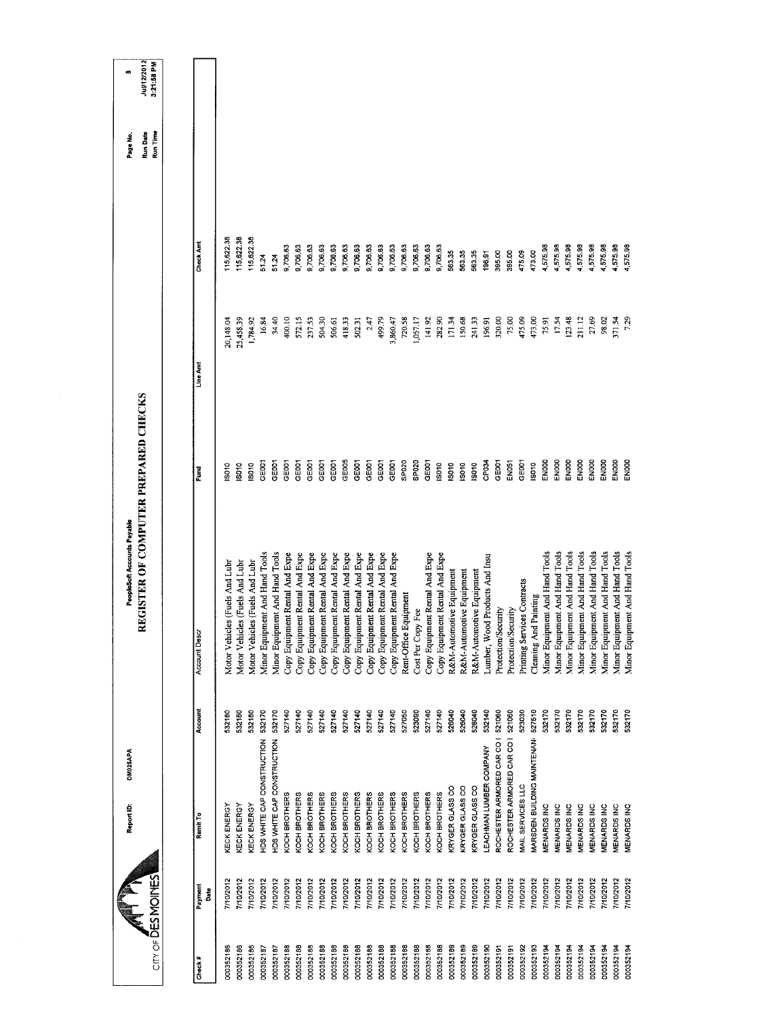| <b>CITY OF DES MOINES</b> |                 | Report ID:                        | DM025APA | REGISTER OF COMPUTER PREPARED CHECKS<br>PeopleSoft Accounts Payable |                   |           |            | Run Time<br>Run Date<br>Page No. | Jul/12/2012<br>3:21:58 PM<br>$\bullet$ |
|---------------------------|-----------------|-----------------------------------|----------|---------------------------------------------------------------------|-------------------|-----------|------------|----------------------------------|----------------------------------------|
|                           |                 |                                   |          |                                                                     |                   |           |            |                                  |                                        |
| Check#                    | Payment<br>Date | Remit To                          | Account  | Account Desca                                                       | Fund              | Line Amt  | Check Amt  |                                  |                                        |
| 000352186                 | 7/10/2012       | KECK ENERGY                       | 532180   | Motor Vehicles (Fuels And Lubr                                      | S010              | 20,148.04 | 15,622.38  |                                  |                                        |
| 000352186                 | 7/10/2012       | KECK ENERGY                       | 532180   | Motor Vehicles (Fuels And Lubr                                      | <b>SO10</b>       | 25,458.39 | 115,622.38 |                                  |                                        |
| 000352186                 | 710/2012        | KECK ENERGY                       | 532180   | Motor Vehicles (Fuels And Lubr                                      | S010              | 1,784.92  | 15,622.38  |                                  |                                        |
| 000352187                 | 7/10/2012       | HDS WHITE CAP CONSTRUCTION        | 532170   | Minor Equipment And Hand Tools                                      | GE001             | 16.84     | 51.24      |                                  |                                        |
| 000352187                 | 7/10/2012       | HDS WHITE CAP CONSTRUCTION        | 532170   | Minor Equipment And Hand Tools                                      | GE <sub>001</sub> | 34.40     | 51.24      |                                  |                                        |
| 000352188                 | 7/10/2012       | KOCH BROTHERS                     | 527140   | Copy Equipment Rental And Expe                                      | <b>GEOOT</b>      | 400.10    | 9,706,63   |                                  |                                        |
| 000352188                 | 7/10/2012       | KOCH BROTHERS                     | 527140   | Copy Equipment Rental And Expe                                      | GE001             | 572.15    | 9,706.63   |                                  |                                        |
| 000352188                 | 7/10/2012       | KOCH BROTHERS                     | 527140   | Copy Equipment Rental And Expe                                      | GE <sub>001</sub> | 237.53    | 9,706.63   |                                  |                                        |
| 000352188                 | 710/2012        | KOCH BROTHERS                     | 527140   | Copy Equipment Rental And Expe                                      | GEOOT             | 504.30    | 9,706.63   |                                  |                                        |
| 000352188                 | 7/10/2012       | KOCH BROTHERS                     | 527140   | Copy Equipment Rental And Expe                                      | <b>GEOOT</b>      | 506.61    | 9,706.63   |                                  |                                        |
| 000352188                 | 7/10/2012       | KOCH BROTHERS                     | 527140   | Copy Equipment Rental And Expe                                      | GE005             | 418.33    | 9,706.63   |                                  |                                        |
| 000352188                 | 7/10/2012       | KOCH BROTHERS                     | 527140   | Copy Equipment Rental And Expe                                      | GE <sub>001</sub> | 502.31    | 9,706.63   |                                  |                                        |
| 000352188                 | //10/2012       | KOCH BROTHERS                     | 527140   | Copy Equipment Rental And Expe                                      | GEOO1             | 2.47      | 9,706.63   |                                  |                                        |
| 000352188                 | 7/10/2012       | KOCH BROTHERS                     | 527140   | Copy Equipment Rental And Expe                                      | GE001             | 499.79    | 8,706.63   |                                  |                                        |
| 000352188                 | 7/10/2012       | KOCH BROTHERS                     | 527140   | Copy Equipment Rental And Expe                                      | GEOO1             | 3,860.47  | 9,706.63   |                                  |                                        |
| 000352188                 | 7/10/2012       | KOCH BROTHERS                     | 527050   | Rent-Office Equipment                                               | SPO <sub>20</sub> | 720.58    | 9,706 63   |                                  |                                        |
| 000352188                 | 7/10/2012       | KOCH BROTHERS                     | 523090   | Cost Per Copy Fee                                                   | SPO <sub>20</sub> | 1,057.17  | 9,706 63   |                                  |                                        |
| 000352188                 | 7/10/2012       | KOCH BROTHERS                     | 527140   | Copy Equipment Rental And Expe                                      | GE001             | 141.92    | 9,706.63   |                                  |                                        |
| 000352188                 | 7/10/2012       | KOCH BROTHERS                     | 527140   | Copy Equipment Rental And Expe                                      | IS010             | 282.90    | 9,706 63   |                                  |                                        |
| 000352189                 | 7/10/2012       | KRYGER GLASS CO                   | 526040   | R&M-Automotive Equipment                                            | $\frac{1}{2}$     | 171.34    | 563.35     |                                  |                                        |
| 000352189                 | 7/10/2012       | KRYGER GLASS CO                   | 526040   | R&M-Automotive Equipment                                            | <b>ISO10</b>      | 150.68    | 563.35     |                                  |                                        |
| 000352189                 | 7/10/2012       | KRYGER GLASS CO                   | 526040   | R&M-Automotive Equipment                                            | So <sub>10</sub>  | 241.33    | 563.35     |                                  |                                        |
| 000352190                 | 7/10/2012       | LEACHMAN LUMBER COMPANY           | 532140   | Lumber, Wood Products And Insu                                      | CP034             | 196.91    | 196.91     |                                  |                                        |
| 000352191                 | 7/10/2012       | ROCHESTER ARMORED CAR CO I        | 521060   | Protection/Security                                                 | GE001             | 320,00    | 395.00     |                                  |                                        |
| 000352191                 | 7/10/2012       | ROCHESTER ARMORED CAR CO   521060 |          | Protection/Security                                                 | <b>EN051</b>      | 75.00     | 395.00     |                                  |                                        |
| 000352192                 | 710/2012        | MAIL SERVICES LLC                 | 523030   | Printing Services Contracts                                         | GEOO1             | 475.09    | 475.09     |                                  |                                        |
| 000352193                 | 7/10/2012       | MARSDEN BUILDING MAINTENAN        | 527510   | Cleaning And Painting                                               | ISO10             | 473.00    | 473.00     |                                  |                                        |
| 000352194                 | 7/10/2012       | MENARDS INC                       | 532170   | Minor Equipment And Hand Tools                                      | ENOOO             | 75.91     | 4,575.98   |                                  |                                        |
| 000352194                 | 110/2012        | MENARDS INC                       | 532170   | Minor Equipment And Hand Tools                                      | ENOOO             | 17.54     | 4,575.98   |                                  |                                        |
| 000352194                 | 7/10/2012       | <b>MENARDS INC</b>                | 532170   | Minor Equipment And Hand Tools                                      | ENOOO             | 123.48    | 4,575.98   |                                  |                                        |
| 000352194                 | 7/10/2012       | MENARDS INC                       | 532170   | Minor Equipment And Hand Tools                                      | ENOOO             | 211.12    | 4,575.98   |                                  |                                        |
| 000352194                 | 710/2012        | MENARDS INC                       | 532170   | Minor Equipment And Hand Tools                                      | ENOOO             | 27.69     | 4,575.98   |                                  |                                        |
| 000352194                 | 7/10/2012       | MENARDS INC                       | 532170   | Minor Equipment And Hand Tools                                      | ENDOO             | 98.02     | 4,575.98   |                                  |                                        |
| 000352194                 | 7/10/2012       | <b>MENARDS INC</b>                | 532170   | Minor Equipment And Hand Tools                                      | EN000             | 371.54    | 4,575.98   |                                  |                                        |
| 000352194                 | 7/10/2012       | <b>VIENARDS INC</b>               | 532170   | Minor Equipment And Hand Tools                                      | EN000             | 7.29      | 4,575.98   |                                  |                                        |
|                           |                 |                                   |          |                                                                     |                   |           |            |                                  |                                        |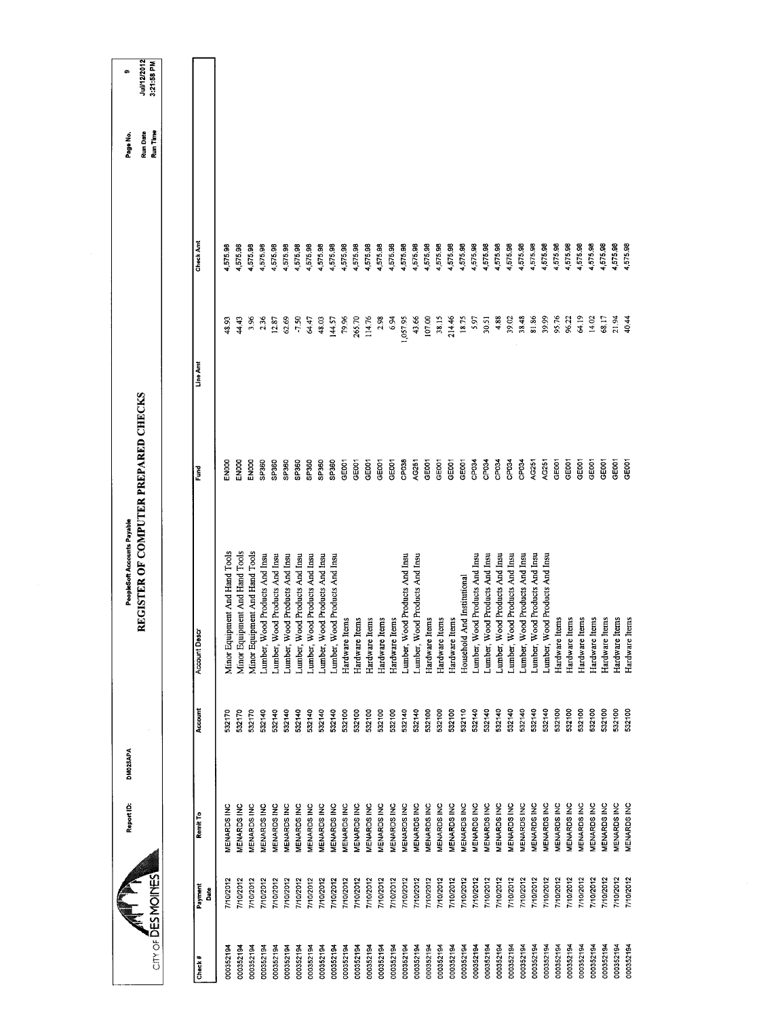|                    |                        | DM025APA<br>Report ID: |         | REGISTER OF COMPUTER PREPARED CHECKS<br>PeopleSoft Accounts Payable |                   |          |          | Page No.             | ø                         |
|--------------------|------------------------|------------------------|---------|---------------------------------------------------------------------|-------------------|----------|----------|----------------------|---------------------------|
| City of DES MOINES |                        |                        |         |                                                                     |                   |          |          | Run Time<br>Run Date | Jul/12/2012<br>3:21:58 PM |
|                    |                        |                        |         |                                                                     |                   |          |          |                      |                           |
| Check#             | Payment<br><b>Bate</b> | Remit To               | Account | Account Desci                                                       | Ĕ                 | Line Am  | Check Am |                      |                           |
| 000352194          | 7/10/2012              | <b>MENARDS INC</b>     | 532170  | Minor Equipment And Hand Tools                                      | <b>ENOOD</b>      | 48.93    | 4,575.98 |                      |                           |
| 000352194          | 7/10/2012              | <b>MENARDS INC</b>     | 532170  | Minor Equipment And Hand Tools                                      | ENOOO             | 44.43    | 4,575.98 |                      |                           |
| 000352194          | 7/10/2012              | MENARDS INC            | 532170  | Minor Equipment And Hand Tools                                      | ENOOO             | 3.96     | 4,575.98 |                      |                           |
| 000352194          | 7/10/2012              | MENARDS INC            | 532140  | Lumber, Wood Products And Insu                                      | SP360             | 2.36     | 4,575.98 |                      |                           |
| 000352194          | 7/10/2012              | <b>MENARDS INC</b>     | 532140  | Lumber, Wood Products And Insu                                      | SP360             | 12.87    | 4,575.98 |                      |                           |
| 000352194          | 7/10/2012              | MENARDS INC            | 532140  | Lumber, Wood Products And Insu                                      | SP360             | 62.69    | 4,575.98 |                      |                           |
| 000352194          | 7/10/2012              | <b>MENARDS INC</b>     | 532140  | Lumber, Wood Products And Insu                                      | SP360             | $-7.50$  | 4,575,98 |                      |                           |
| 000352194          | 7/10/2012              | <b>MENARDS INC</b>     | 532140  | Lumber, Wood Products And Insu                                      | SP360             | 64.47    | 4,575.98 |                      |                           |
| 000352194          | 7/10/2012              | MENARDS INC            | 532140  | Lumber, Wood Products And Insu                                      | SP360             | 48.03    | 4,575.98 |                      |                           |
| 000352194          | 7/10/2012              | MENARDS INC            | 532140  | Lumber, Wood Products And Insu                                      | SP360             | 144.57   | 4,575.98 |                      |                           |
| 000352194          | 7/10/2012              | MENARDS INC            | 532100  | Hardware Items                                                      | GE001             | 79.96    | 4,575.98 |                      |                           |
| 000352194          | 7/10/2012              | MENARDS INC            | 532100  | Hardware Items                                                      | GE001             | 265.70   | 4,575.98 |                      |                           |
| 000352194          | 7/10/2012              | MENARDS INC            | 532100  | Hardware Items                                                      | GE001             | 114.76   | 4,575.98 |                      |                           |
| 000352194          | 7/10/2012              | <b>MENARDS INC</b>     | 532100  | Hardware Items                                                      | GEODT             | 2.98     | 4,575.98 |                      |                           |
| 000352194          | 7/10/2012              | MENARDS INC            | 532100  | Hardware Items                                                      | GEOOT             | 6.94     | 4,575.98 |                      |                           |
| 000352194          | 7/10/2012              | MENARDS INC            | 532140  | Lumber, Wood Products And Insu                                      | CP <sub>038</sub> | 1,057.95 | 4,575.98 |                      |                           |
| 000352194          | 7/10/2012              | MENARDS INC            | 532140  | Lumber, Wood Products And Insu                                      | AG251             | 43,66    | 4,575.98 |                      |                           |
| 000352194          | 7/10/2012              | MENARDS INC            | 532100  | Hardware Items                                                      | GEOOT             | 107.00   | 4,575.98 |                      |                           |
| 000352194          | 7/10/2012              | MENARDS INC            | 532100  | Hardware Items                                                      | GE001             | 38.15    | 4,575.98 |                      |                           |
| 000352194          | 7/10/2012              | <b>VENARDS INC</b>     | 532100  | Hardware Items                                                      | GE <sub>001</sub> | 214.46   | 4,575.98 |                      |                           |
| 000352194          | 7/10/2012              | MENARDS INC            | 532110  | Household And Institutional                                         | GE <sub>001</sub> | 18.75    | 4,575.98 |                      |                           |
| 000352194          | 7/10/2012              | MENARDS INC            | 532140  | Lumber, Wood Products And Insu                                      | CP <sub>034</sub> | 5.97     | 4,575.98 |                      |                           |
| 000352194          | 7/10/2012              | <b>MENARDS INC</b>     | 532140  | Lumber, Wood Products And Insu                                      | CP <sub>034</sub> | 30,51    | 4,575.98 |                      |                           |
| 000352194          | 7/10/2012              | MENARDS INC            | 532140  | Lumber, Wood Products And Insu                                      | CP034             | 4.88     | 4,575.98 |                      |                           |
| 000352194          | 7/10/2012              | MENARDS INC            | 532140  | Lumber, Wood Products And Insu                                      | CP034             | 39.02    | 4,575.98 |                      |                           |
| 000352194          | 7/10/2012              | <b>MENARDS INC</b>     | 532140  | Lumber, Wood Products And Insu                                      | CP034             | 38.48    | 4,575.98 |                      |                           |
| 000352194          | 7/10/2012              | MENARDS INC            | 532140  | Lumber, Wood Products And Insu                                      | AG251             | 81.86    | 4,575.98 |                      |                           |
| 000352194          | 7/10/2012              | MENARDS INC            | 532140  | Lumber, Wood Products And Insu                                      | AG251             | 39.99    | 575.98   |                      |                           |
| 000352194          | 7/10/2012              | MENARDS INC            | 532100  | Hardware Items                                                      | GE001             | 95.76    | 4,575.98 |                      |                           |
| 000352194          | 7/10/2012              | <b>MENARDS INC</b>     | 532100  | Hardware Items                                                      | GE <sub>001</sub> | 96.22    | 4,575.98 |                      |                           |
| 000352194          | 7/10/2012              | <b>MENARDS INC</b>     | 532100  | Hardware Items                                                      | GE <sub>001</sub> | 64.19    | 575.98   |                      |                           |
| 000352194          | <b>7/10/2012</b>       | <b>VIENARDS INC</b>    | 532100  | Hardware Items                                                      | GE001             | 14.02    | 4,575.98 |                      |                           |
| 000352194          | 110/2012               | MENARDS INC            | 532100  | Hardware Items                                                      | GE001             | 68.17    | 4,575.98 |                      |                           |
| 000352194          | 7/10/2012              | MENARDS INC            | 532100  | Hardware Items                                                      | GE001             | 21.94    | 575.98   |                      |                           |
| 000352194          | 7/10/2012              | <b>MENARDS INC</b>     | 532100  | Hardware Items                                                      | GEOCI             | 40.44    | 4,575.98 |                      |                           |
|                    |                        |                        |         |                                                                     |                   |          |          |                      |                           |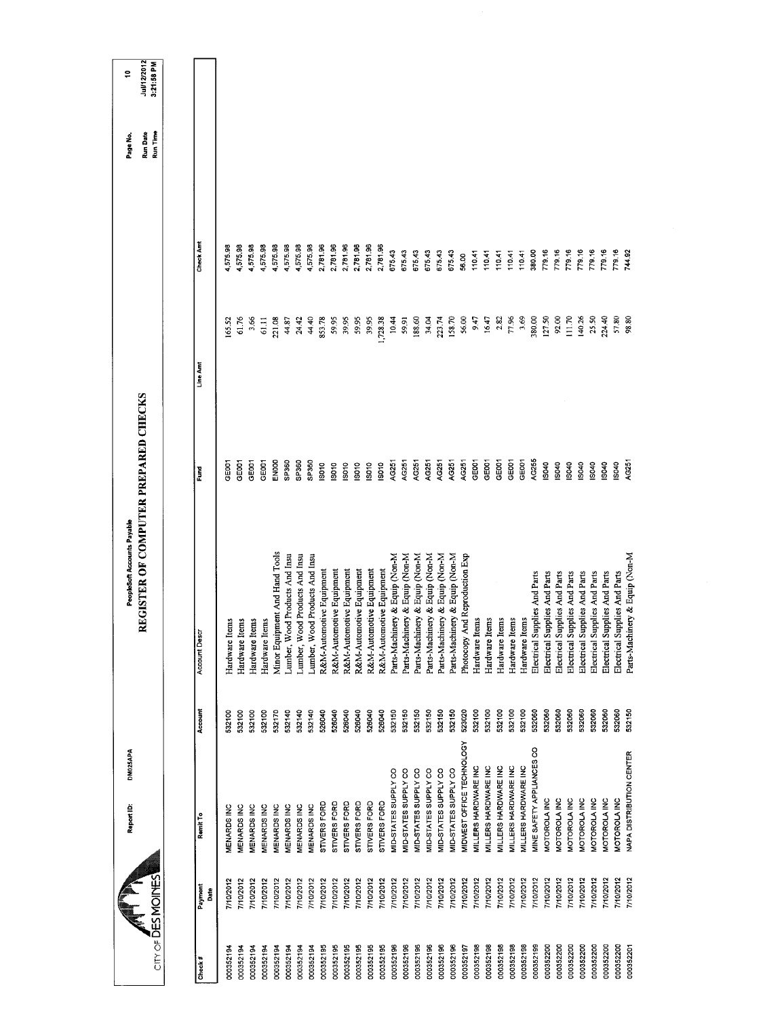| City of DES MOINES         | Report ID:                      | DM025APA |         | REGISTER OF COMPUTER PREPARED CHECKS<br>PeopleSoft Accounts Payable |                   |          |           | Run Time<br>Run Date<br>Page No. | Jul/12/2012<br>3:21:58 PM<br>ę |
|----------------------------|---------------------------------|----------|---------|---------------------------------------------------------------------|-------------------|----------|-----------|----------------------------------|--------------------------------|
|                            |                                 |          |         |                                                                     |                   |          |           |                                  |                                |
| Payment<br>Date<br>Check # | Remit To                        |          | Account | <b>Account Descr</b>                                                | Fund              | Line Amt | Check Amt |                                  |                                |
| 7/10/2012<br>000352194     | MENARDS INC                     |          | 532100  | Hardware Items                                                      | 3E001             | 165.52   | 1,575.98  |                                  |                                |
| 7/10/2012<br>000352194     | MENARDS INC                     |          | 532100  | Hardware Items                                                      | GE001             | 61.76    | 4,575.98  |                                  |                                |
| 710/2012<br>000352194      | <b>MENARDS INC</b>              |          | 532100  | Hardware Items                                                      | GE001             | 3,66     | 1,575,98  |                                  |                                |
| 7/10/2012<br>000352194     | MENARDS INC                     |          | 532100  | Hardware Items                                                      | GE001             | 61.11    | 1,57598   |                                  |                                |
| 7/10/2012<br>000352194     | MENARDS INC                     |          | 532170  | Minor Equipment And Hand Tools                                      | EN000             | 221.08   | 4,575.98  |                                  |                                |
| 7/10/2012<br>000352194     | <b>MENARDS INC</b>              |          | 532140  | Lumber, Wood Products And Insu                                      | SP360             | 44.87    | 1,575.98  |                                  |                                |
| 7/10/2012<br>000352194     | MENARDS INC                     |          | 532140  | Lumber, Wood Products And Insu                                      | SP <sub>360</sub> | 24.42    | 4,57598   |                                  |                                |
| 7/10/2012<br>000352194     | <b>MENARDSINC</b>               |          | 532140  | Lumber, Wood Products And Insu                                      | SP360             | 44.40    | 4,575.98  |                                  |                                |
| 7/10/2012<br>000352195     | STIVERS FORD                    |          | 526040  | R&M-Automotive Equipment                                            | SO <sub>10</sub>  | 853.78   | 2,781.96  |                                  |                                |
| 7/10/2012<br>000352195     | STIVERS FORD                    |          | 526040  | R&M-Automotive Equipment                                            | IS010             | 59.95    | 2,781.96  |                                  |                                |
| 7/10/2012<br>000352195     | STIVERS FORD                    |          | 526040  | R&M-Automotive Equipment                                            | IS010             | 39.95    | 2,781.96  |                                  |                                |
| 7/10/2012<br>000352195     | STIVERS FORD                    |          | 526040  | R&M-Automotive Equipment                                            | IS010             | 59.95    | 2,781.96  |                                  |                                |
| 7/10/2012<br>000352195     | STIVERS FORD                    |          | 526040  | R&M-Automotive Equipment                                            | isoto             | 39.95    | 2,781.96  |                                  |                                |
| 710/2012<br>000352195      | STIVERS FORD                    |          | 526040  | R&M-Automotive Equipment                                            | <b>SO10</b>       | ,728.38  | 2,781.96  |                                  |                                |
| 7/10/2012<br>000352196     | MID-STATES SUPPLY CO            |          | 532150  | Parts-Machinery & Equip (Non-M                                      | AG251             | 10.44    | 675.43    |                                  |                                |
| 7/10/2012<br>000352196     | MID-STATES SUPPLY CO            |          | 532150  | Parts-Machinery & Equip (Non-M                                      | AG251             | 5991     | 675.43    |                                  |                                |
| 7/10/2012<br>000352196     | MID-STATES SUPPLY CO            |          | 532150  | Parts-Machinery & Equip (Non-M                                      | AG251             | 188.60   | 675.43    |                                  |                                |
| 7/10/2012<br>000352196     | MID-STATES SUPPLY CO            |          | 532150  | Parts-Machinery & Equip (Non-M                                      | AG251             | 34.04    | 675.43    |                                  |                                |
| 7/10/2012<br>000352196     | MID-STATES SUPPLY CO            |          | 532150  | Parts-Machinery & Equip (Non-M                                      | AG251             | 223.74   | 675.43    |                                  |                                |
| 7/10/2012<br>000352196     | MID-STATES SUPPLY CO            |          | 532150  | Parts-Machinery & Equip (Non-M                                      | AG251             | 158.70   | 675.43    |                                  |                                |
| 7/10/2012<br>000352197     | MIDWEST OFFICE TECHNOLOGY       |          | 523020  | And Reproduction Exp<br>Photocopy                                   | AG251             | 56.00    | 56.00     |                                  |                                |
| 7/10/2012<br>000352198     | MILLERS HARDWARE INC            |          | 532100  | Hardware Items                                                      | GE001             | 9.47     | 110.41    |                                  |                                |
| 7/10/2012<br>000352198     | MILLERS HARDWARE INC            |          | 532100  | tems<br>Hardware It                                                 | GE001             | 16,47    | 110.41    |                                  |                                |
| 7/10/2012<br>000352198     | MILLERS HARDWARE INC            |          | 532100  | Hardware Items                                                      | GE001             | 2.82     | 110.41    |                                  |                                |
| 7/10/2012<br>000352198     | MILLERS HARDWARE INC            |          | 532100  | Hardware Items                                                      | GE001             | 77.96    | 110.41    |                                  |                                |
| 7/10/2012<br>000352198     | MILLERS HARDWARE INC            |          | 532100  | Hardware Items                                                      | GEOOT             | 3.69     | 11041     |                                  |                                |
| 7/10/2012<br>000352199     | MINE SAFETY APPLIANCES CO       |          | 532060  | Electrical Supplies And Parts                                       | AG255             | 380.00   | 380.00    |                                  |                                |
| 710/2012<br>000352200      | MOTOROLA INC                    |          | 532060  | Electrical Supplies And Parts                                       | IS040             | 127.50   | 779.16    |                                  |                                |
| 7/10/2012<br>000352200     | MOTOROLA INC                    |          | 532060  | Electrical Supplies And Parts                                       | IS040             | 92.00    | 779.16    |                                  |                                |
| 7/10/2012<br>000352200     | MOTOROLA INC                    |          | 532060  | Electrical Supplies And Parts                                       | IS040             | 111.70   | 779.16    |                                  |                                |
| 7/10/2012<br>000352200     | <b>MOTOROLA INC</b>             |          | 532060  | Electrical Supplies And Parts                                       | IS040             | 140.26   | 779.16    |                                  |                                |
| 7/10/2012<br>000352200     | MOTOROLA INC                    |          | 532060  | Electrical Supplies And Parts                                       | IS040             | 25.50    | 779.16    |                                  |                                |
| 7/10/2012<br>000352200     | MOTOROLA INC                    |          | 532060  | Electrical Supplies And Parts                                       | S040              | 224.40   | 779.16    |                                  |                                |
| 710/2012<br>000352200      | <b>MOTOROLA INC</b>             |          | 532060  | Electrical Supplies And Parts                                       | IS040             | 57.80    | 779.16    |                                  |                                |
| 7/10/2012<br>000352201     | <b>VAPA DISTRIBUTION CENTER</b> |          | 532150  | Parts-Machinery & Equip (Non-M                                      | AG251             | 98.80    | 744.92    |                                  |                                |
|                            |                                 |          |         |                                                                     |                   |          |           |                                  |                                |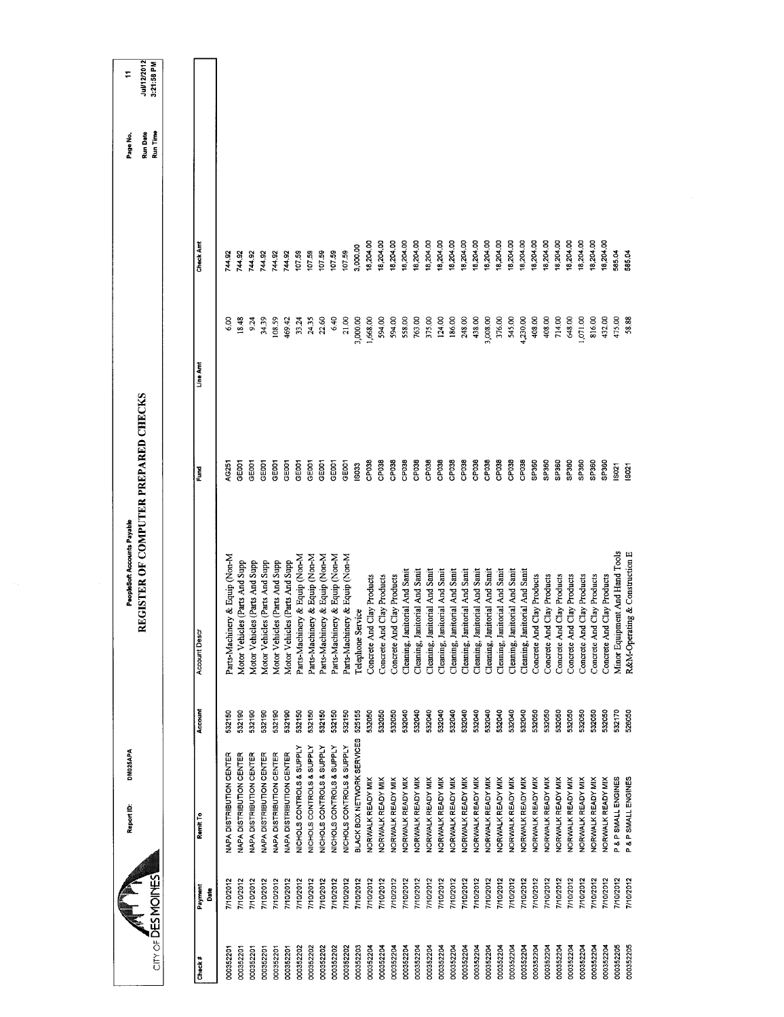| <b>CITY OF DES MOINES</b> |                 | DM025APA<br>Report ID:          |         | REGISTER OF COMPUTER PREPARED CHECKS<br>PeopleSoft Accounts Payable |                   |               |           | Run Date<br>Run Time<br>Page No. | Jul/12/2012<br>3:21:58 PM<br>÷ |
|---------------------------|-----------------|---------------------------------|---------|---------------------------------------------------------------------|-------------------|---------------|-----------|----------------------------------|--------------------------------|
|                           |                 |                                 |         |                                                                     |                   |               |           |                                  |                                |
| Check#                    | Payment<br>Date | Remit To                        | Account | Account Desc                                                        | ě                 | Line Amt      | Check Amt |                                  |                                |
| 000352201                 | 7/0/2012        | NAPA DISTRIBUTION CENTER        | 532150  | Parts-Machinery & Equip (Non-M                                      | <b>C25</b>        | $\frac{8}{6}$ | 144.92    |                                  |                                |
| 000352201                 | 7/10/2012       | <b>VAPA DISTRIBUTION CENTER</b> | 532190  | Motor Vehicles (Parts And Supp                                      | GE001             | 18.48         | 744.92    |                                  |                                |
| 000352201                 | 7/10/2012       | NAPA DISTRIBUTION CENTER        | 532190  | Motor Vehicles (Parts And Supp                                      | GE001             | 9.24          | 744.92    |                                  |                                |
| 000352201                 | 7/10/2012       | NAPA DISTRIBUTION CENTER        | 532190  | Motor Vehicles (Parts And Supp                                      | GE001             | 34.39         | 744.92    |                                  |                                |
| 000352201                 | 7/10/2012       | NAPA DISTRIBUTION CENTER        | 532190  | Motor Vehicles (Parts And Supp                                      | GEOOT             | 108.59        | 744.92    |                                  |                                |
| 000352201                 | 7/10/2012       | NAPA DISTRIBUTION CENTER        | 532190  | Motor Vehicles (Parts And Supp                                      | GEOOT             | 469.42        | 744.92    |                                  |                                |
| 000352202                 | 7/10/2012       | NICHOLS CONTROLS & SUPPLY       | 532150  | Parts-Machinery & Equip (Non-M                                      | GE001             | 33.24         | 107.59    |                                  |                                |
| 000352202                 | 710/2012        | NICHOLS CONTROLS & SUPPLY       | 532150  | Parts-Machinery & Equip (Non-M                                      | GEOOT             | 24.35         | 107.59    |                                  |                                |
| 000352202                 | 7/10/2012       | NICHOLS CONTROLS & SUPPLY       | 532150  | Parts-Machinery & Equip (Non-M                                      | GE <sub>001</sub> | 22.60         | 107.59    |                                  |                                |
| 000352202                 | 7/10/2012       | NICHOLS CONTROLS & SUPPLY       | 532150  | Parts-Machinery & Equip (Non-M                                      | GE001             | 6.40          | 107.59    |                                  |                                |
| 000352202                 | 7/10/2012       | NICHOLS CONTROLS & SUPPLY       | 532150  | Parts-Machinery & Equip (Non-M                                      | GEOOT             | 21.00         | 107.59    |                                  |                                |
| 000352203                 | 7/10/2012       | BLACK BOX NETWORK SERVICES      | 525155  | Telephone Service                                                   | <b>ISO33</b>      | 3,000.00      | 3,000.00  |                                  |                                |
| 000352204                 | 7/10/2012       | NORWALK READY MIX               | 532050  | Concrete And Clay Products                                          | CP038             | 1,668.00      | 18,204.00 |                                  |                                |
| 000352204                 | 7/10/2012       | NORWALK READY MIX               | 532050  | Concrete And Clay Products                                          | CP038             | 594.00        | 18,204.00 |                                  |                                |
| 000352204                 | 7/10/2012       | NORWALK READY MIX               | 532050  | Concrete And Clay Products                                          | CP <sub>038</sub> | 594.00        | 18,204.00 |                                  |                                |
| 000352204                 | 7/10/2012       | NORWALK READY MIX               | 532040  | Cleaning, Janitorial And Sanit                                      | CP038             | 558.00        | 18,204.00 |                                  |                                |
| 000352204                 | 7/10/2012       | NORWALK READY MIX               | 532040  | Cleaning, Janitorial And Sanit                                      | CP038             | 763.00        | 18,204.00 |                                  |                                |
| 000352204                 | 7/10/2012       | NORWALK READY MIX               | 532040  | Cleaning, Janitorial And Sanit                                      | CP038             | 375.00        | 18,204.00 |                                  |                                |
| 000352204                 | 7/10/2012       | NORWALK READY MIX               | 532040  | Cleaning, Janitorial And Sanit                                      | CP038             | 124.00        | 18,204.00 |                                  |                                |
| 000352204                 | 710/2012        | <b>NORWALK READY MIX</b>        | 532040  | Cleaning, Janitorial And Sanit                                      | CP <sub>038</sub> | 186.00        | 18,204.00 |                                  |                                |
| 000352204                 | 7/10/2012       | NORWALK READY MIX               | 532040  | Cleaning, Janitorial And Sanit                                      | CP <sub>038</sub> | 248.00        | 18,204.00 |                                  |                                |
| 000352204                 | 7/10/2012       | NORWALK READY MIX               | 532040  | Cleaning, Janitorial And Sanit                                      | CP038             | 438.00        | 18,204.00 |                                  |                                |
| 000352204                 | 710/2012        | NORWALK READY MIX               | 532040  | Cleaning, Janitorial And Sanit                                      | CP <sub>038</sub> | 3,008.00      | 18,204.00 |                                  |                                |
| 000352204                 | 7/10/2012       | NORWALK READY MIX               | 532040  | Cleaning, Janitorial And Sanit                                      | CP038             | 376.00        | 18,204.00 |                                  |                                |
| 000352204                 | 7/10/2012       | NORWALK READY MIX               | 532040  | Cleaning, Janitorial And Sanit                                      | CP <sub>038</sub> | 545.00        | 18,204.00 |                                  |                                |
| 000352204                 | 710/2012        | <b>VORWALK READY MIX</b>        | 532040  | Cleaning, Janitorial And Sanit                                      | CP <sub>038</sub> | 4,230.00      | 18,204.00 |                                  |                                |
| 000352204                 | 7/10/2012       | NORWALK READY MIX               | 532050  | Concrete And Clay Products                                          | SP360             | 408.00        | 18,204.00 |                                  |                                |
| 000352204                 | 7/10/2012       | NORWALK READY MIX               | 532050  | Concrete And Clay Products                                          | SP360             | 408.00        | 18,204.00 |                                  |                                |
| 000352204                 | 710/2012        | <b>VORWALK READY MIX</b>        | 532050  | Concrete And Clay Products                                          | SP360             | 714.00        | 18,204.00 |                                  |                                |
| 000352204                 | 7/10/2012       | NORWALK READY MIX               | 532050  | Concrete And Clay Products                                          | SP360             | 648.00        | 18,204.00 |                                  |                                |
| 000352204                 | 7/10/2012       | NORWALK READY MIX               | 532050  | Concrete And Clay Products                                          | SP360             | 1,071.00      | 18,204.00 |                                  |                                |
| 000352204                 | 7/10/2012       | <b>NORWALK READY MIX</b>        | 532050  | Concrete And Clay Products                                          | SP360             | 816.00        | 18,204.00 |                                  |                                |
| 000352204                 | 7/10/2012       | NORWALK READY MIX               | 532050  | Concrete And Clay Products                                          | SP360             | 432.00        | 18,204.00 |                                  |                                |
| 000352205                 | 710/2012        | P & P SMALL ENGINES             | 532170  | Minor Equipment And Hand Tools                                      | IS021             | 475.00        | 585.04    |                                  |                                |
| 000352205                 | 7/10/2012       | P & P SMALL ENGINES             | 526050  | R&M-Operating & Construction E                                      | IS021             | 58.88         | 585.04    |                                  |                                |
|                           |                 |                                 |         |                                                                     |                   |               |           |                                  |                                |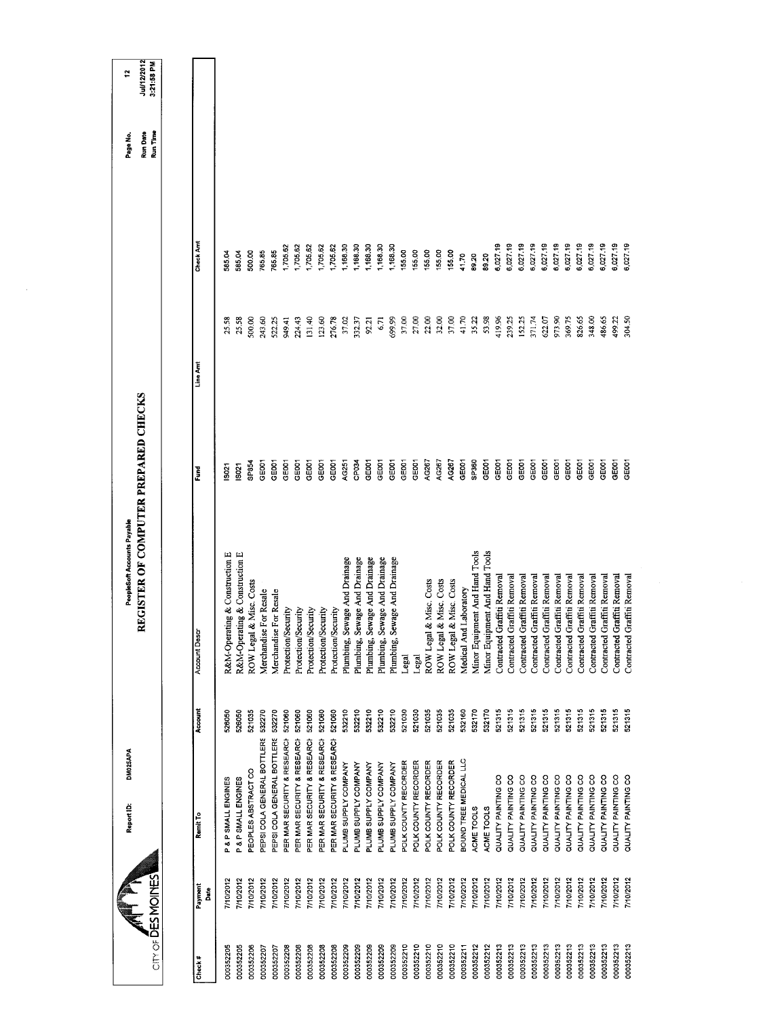| $CITY OF \tilde{D}ES MOMES$ |                 | DM025APA<br>Report ID:      |         | REGISTER OF COMPUTER PREPARED CHECKS<br>PeopleSoft Accounts Payable |                   |          |           | Run Date<br>Run Time<br>Page No. | Jul/12/2012<br>3:21:58 PM<br>÷ |
|-----------------------------|-----------------|-----------------------------|---------|---------------------------------------------------------------------|-------------------|----------|-----------|----------------------------------|--------------------------------|
|                             |                 |                             |         |                                                                     |                   |          |           |                                  |                                |
| Check#                      | Payment<br>Date | Remit To                    | Account | <b>Account Descr</b>                                                | Fund              | Line Amt | Check Amt |                                  |                                |
| 000352205                   | 7/10/2012       | P & P SMALL ENGINES         | 528050  | R&M-Operating & Construction E                                      | 5021              | 25.58    | 585.04    |                                  |                                |
| 000352205                   | 7/10/2012       | P & P SMALL ENGINES         | 520050  | R&M-Operating & Construction E                                      | \$021             | 25.58    | 585.04    |                                  |                                |
| 000352206                   | 7/10/2012       | PEOPLES ABSTRACT CO         | 521035  | ROW Legal & Misc. Costs                                             | SP854             | 500.00   | 500.00    |                                  |                                |
| 000352207                   | 7/10/2012       | PEPSI COLA GENERAL BOTTLERS | 532270  | Merchandise For Resale                                              | GE <sub>001</sub> | 243.60   | 765.85    |                                  |                                |
| 000352207                   | 710/2012        | PEPSI COLA GENERAL BOTTLERS | 532270  | Merchandise For Resale                                              | <b>GE001</b>      | 522.25   | 765.85    |                                  |                                |
| 000352208                   | 7/10/2012       | PER MAR SECURITY & RESEARCH | 521060  | Protection/Security                                                 | GEOOT             | 949.41   | 1,705.62  |                                  |                                |
| 000352208                   | 7/10/2012       | PER MAR SECURITY & RESEARCH | 521060  | Protection/Security                                                 | <b>GEOOT</b>      | 224.43   | 1,705.62  |                                  |                                |
| 000352208                   | 7/10/2012       | PER MAR SECURITY & RESEARCH | 521060  | Protection/Security                                                 | GE001             | 131.40   | 1,705.62  |                                  |                                |
| 000352208                   | 7/10/2012       | PER MAR SECURITY & RESEARCH | 521060  | Protection/Security                                                 | GE001             | 123.60   | 1,705.62  |                                  |                                |
| 000352208                   | 7/10/2012       | PER MAR SECURITY & RESEARCH | 521060  | Protection/Security                                                 | GE001             | 276.78   | 1,705.62  |                                  |                                |
| 000352209                   | 7/10/2012       | PLUMB SUPPLY COMPANY        | 532210  | Plumbing, Sewage And Drainage                                       | <b>AG251</b>      | 37.02    | 1,168.30  |                                  |                                |
| 000352209                   | 7/10/2012       | PLUMB SUPPLY COMPANY        | 532210  | Plumbing, Sewage And Drainage                                       | CP034             | 332.37   | 1,168.30  |                                  |                                |
| 000352209                   | 7/10/2012       | PLUMB SUPPLY COMPANY        | 532210  | Plumbing, Sewage And Drainage                                       | GEOOT             | 92.21    | 1,168.30  |                                  |                                |
| 000352209                   | 7/10/2012       | PLUMB SUPPLY COMPANY        | 532210  | Plumbing, Sewage And Drainage                                       | GE001             | 6.71     | 1,168.30  |                                  |                                |
| 000352209                   | 7/10/2012       | PLUMB SUPPLY COMPANY        | 532210  | Plumbing, Sewage And Drainage                                       | GEOOT             | 699.99   | 1,168.30  |                                  |                                |
| 000352210                   | 7/10/2012       | POLK COUNTY RECORDER        | 521030  | Legal                                                               | GE001             | 37.00    | 155.00    |                                  |                                |
| 000352210                   | 7/10/2012       | POLK COUNTY RECORDER        | 521030  | Legal                                                               | GEOO1             | 27.00    | 155.00    |                                  |                                |
| 000352210                   | 7/10/2012       | POLK COUNTY RECORDER        | 521035  | & Misc. Costs<br>ROW Legal                                          | AG267             | 22.00    | 15500     |                                  |                                |
| 000352210                   | 7/10/2012       | POLK COUNTY RECORDER        | 521035  | & Misc. Costs<br>ROW Legal                                          | AG267             | 32.00    | 155.00    |                                  |                                |
| 000352210                   | 7/10/2012       | POLK COUNTY RECORDER        | 521035  | & Misc. Costs<br>ROW Legal                                          | AG267             | 37.00    | 155.00    |                                  |                                |
| 000352211                   | 710/2012        | BOUND TREE MEDICAL LLC      | 532160  | Medical And Laboratory                                              | GE001             | 41.70    | 41.70     |                                  |                                |
| 000352212                   | 710/2012        | ACME TOOLS                  | 532170  | Minor Equipment And Hand Tools                                      | <b>GP360</b>      | 35.22    | 89.20     |                                  |                                |
| 000352212                   | 7/10/2012       | ACME TOOLS                  | 532170  | Minor Equipment And Hand Tools                                      | GEOOT             | 53.98    | 89.20     |                                  |                                |
| 000352213                   | 7/10/2012       | QUALITY PAINTING CO         | 521315  | Contracted Graffiti Removal                                         | GEOOT             | 419.96   | 6,027.19  |                                  |                                |
| 000352213                   | 7/10/2012       | QUALITY PAINTING CO         | 521315  | Contracted Graffiti Removal                                         | <b>GEDD1</b>      | 239.25   | 6,027.19  |                                  |                                |
| 000352213                   | 7/10/2012       | QUALITY PAINTING CO         | 521315  | Contracted Graffiti Removal                                         | GE001             | 152.25   | 6,027.19  |                                  |                                |
| 000352213                   | 7/10/2012       | QUALITY PAINTING CO         | 521315  | Contracted Graffiti Removal                                         | GE001             | 371.74   | 6,027.19  |                                  |                                |
| 000352213                   | 710/2012        | QUALITY PAINTING CO         | 521315  | Contracted Graffiti Removal                                         | GE001             | 622.07   | 6,027.19  |                                  |                                |
| 000352213                   | 7/10/2012       | QUALITY PAINTING CO         | 521315  | Contracted Graffiti Removal                                         | GE <sub>001</sub> | 973.90   | 6,027.19  |                                  |                                |
| 000352213                   | 7/10/2012       | QUALITY PAINTING CO         | 521315  | Contracted Graffiti Removal                                         | GE <sub>001</sub> | 369.75   | 6,027.19  |                                  |                                |
| 000352213                   | 7/10/2012       | QUALITY PAINTING CO         | 521315  | Graffiti Removal<br>Contracted                                      | GE <sub>001</sub> | 826.65   | 6,027.19  |                                  |                                |
| 000352213                   | 7/10/2012       | QUALITY PAINTING CO         | 521315  | Graffiti Removal<br>Contracted                                      | GE001             | 348.00   | 6,02719   |                                  |                                |
| 000352213                   | 7/10/2012       | QUALITY PAINTING CO         | 521315  | Contracted Graffiti Removal                                         | GE001             | 486.65   | 6,027.19  |                                  |                                |
| 000352213                   | 7/10/2012       | QUALITY PAINTING CO         | 521315  | Graffiti Removal<br>Contracted                                      | GE001             | 499.22   | 6,027.19  |                                  |                                |
| 000352213                   | 7/10/2012       | QUALITY PAINTING CO         | 521315  | Graffiti Removal<br>Contracted                                      | GE001             | 304.50   | 6,027.19  |                                  |                                |
|                             |                 |                             |         |                                                                     |                   |          |           |                                  |                                |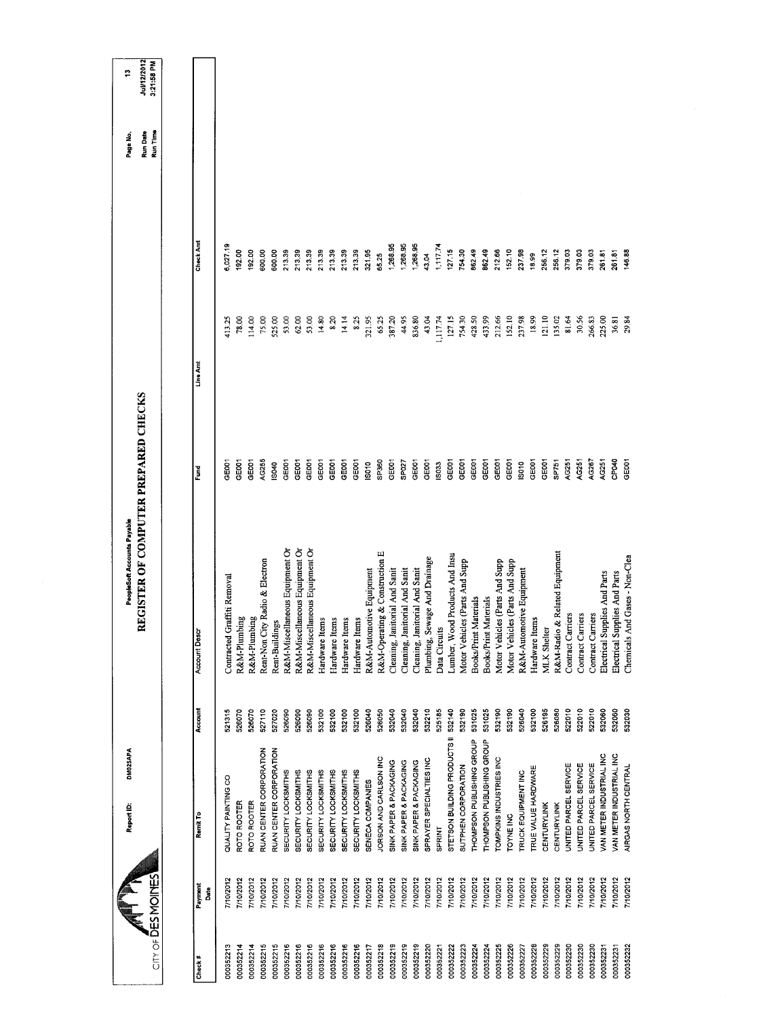| $CITY OF \overline{D}ES MOINES$ | <b>DM025APA</b><br>Report ID:   |         | REGISTER OF COMPUTER PREPARED CHECKS<br>PeopleSoft Accounts Payable |                   |          |           | Run Time<br>Run Date<br>Page No. | Jul/12/2012<br>3:21:58 PM<br>÷ |
|---------------------------------|---------------------------------|---------|---------------------------------------------------------------------|-------------------|----------|-----------|----------------------------------|--------------------------------|
|                                 |                                 |         |                                                                     |                   |          |           |                                  |                                |
| Payment<br>Date<br>Check #      | Remit To                        | Account | <b>Account Descr</b>                                                | Fund              | Line Amt | Check Amt |                                  |                                |
| 7/10/2012<br>000352213          | QUALITY PAINTING CO             | 521315  | Contracted Graffiti Removal                                         | GEOO1             | 113.25   | 5,027.19  |                                  |                                |
| 7/10/2012<br>000352214          | ROTO ROOTER                     | 526070  | R&M-Plumbing                                                        | GEOOT             | 78.00    | 192.00    |                                  |                                |
| 7/10/2012<br>000352214          | ROTO ROOTER                     | 526070  | R&M-Plumbing                                                        | GEODT             | 114.00   | 192.00    |                                  |                                |
| 7/10/2012<br>000352215          | RUAN CENTER CORPORATION         | 527110  | Rent-Non City Radio & Electron                                      | AG255             | 75.00    | 600.00    |                                  |                                |
| 7/10/2012<br>000352215          | RUAN CENTER CORPORATION         | 527020  | Rent-Buildings                                                      | S040              | 525.00   | 600.00    |                                  |                                |
| 7/10/2012<br>000352216          | <b>SECURITY LOCKSMITHS</b>      | 526090  | R&M-Miscellaneous Equipment Or                                      | GE001             | 53.00    | 213.39    |                                  |                                |
| 7/10/2012<br>000352216          | SECURITY LOCKSMITHS             | 526090  | R&M-Miscellaneous Equipment Or                                      | GEOOT             | 62.00    | 213.39    |                                  |                                |
| 7/10/2012<br>000352216          | SECURITY LOCKSMITHS             | 526090  | R&M-Miscellaneous Equipment Or                                      | GEOOT             | 53.00    | 213.39    |                                  |                                |
| 7/10/2012<br>000352216          | SECURITY LOCKSMITHS             | 532100  | Hardware Items                                                      | CEODT             | 14.80    | 21339     |                                  |                                |
| 7/10/2012<br>000352216          | SECURITY LOCKSMITHS             | 532100  | Hardware Items                                                      | GE001             | 8.20     | 213.39    |                                  |                                |
| 7/10/2012<br>000352216          | SECURITY LOCKSMITHS             | 532100  | Hardware Items                                                      | GEOOT             | 14.14    | 213.39    |                                  |                                |
| 7/10/2012<br>000352216          | SECURITY LOCKSMITHS             | 532100  | Hardware Items                                                      | GEDOT             | 8.25     | 213.39    |                                  |                                |
| 7/10/2012<br>000352217          | SENECA COMPANIES                | 526040  | R&M-Automotive Equipment                                            | IS010             | 321.95   | 321.95    |                                  |                                |
| 7/10/2012<br>000352218          | JORSON AND CARLSON INC          | 526050  | R&M-Operating & Construction E                                      | SP360             | 65.25    | 65.25     |                                  |                                |
| 7/10/2012<br>000352219          | SINK PAPER & PACKAGING          | 532040  | Cleaning, Janitorial And Sanit                                      | GE <sub>001</sub> | 387.20   | 1,268.95  |                                  |                                |
| 7/10/2012<br>000352219          | SINK PAPER & PACKAGING          | 532040  | Cleaning, Janitorial And Sanit                                      | SPO27             | 44.95    | 1,268.95  |                                  |                                |
| 7/10/2012<br>000352219          | SINK PAPER & PACKAGING          | 532040  | Cleaning, Janitorial And Sanit                                      | GE001             | 836.80   | 1,268.95  |                                  |                                |
| 7/10/2012<br>000352220          | SPRAYER SPECIALTIES INC         | 532210  | Plumbing, Sewage And Drainage                                       | GEOOT             | 43.04    | 43.04     |                                  |                                |
| 7/10/2012<br>000352221          | <b>SPRINT</b>                   | 525185  | Data Circuits                                                       | <b>ISO33</b>      | 1,117.74 | 1,117.74  |                                  |                                |
| 710/2012<br>000352222           | STETSON BUILDING PRODUCTS II    | 532140  | Lumber, Wood Products And Insu                                      | GE001             | 127.15   | 127.15    |                                  |                                |
| 7/10/2012<br>000352223          | SUTPHEN CORPORATION             | 532190  | Motor Vehicles (Parts And Supp                                      | GE001             | 754.30   | 754.30    |                                  |                                |
| 7/10/2012<br>000352224          | THOMPSON PUBLISHING GROUP       | 531025  | Books/Print Materials                                               | GEOOT             | 428.50   | 862.49    |                                  |                                |
| //10/2012<br>00352224           | THOMPSON PUBLISHING GROUP       | 531025  | Books/Print Materials                                               | GE001             | 433.99   | 862.49    |                                  |                                |
| 7/10/2012<br>000352225          | TOMPKINS INDUSTRIES INC         | 532190  | Motor Vehicles (Parts And Supp                                      | GEOOT             | 212.66   | 212.66    |                                  |                                |
| 710/2012<br>000352226           | <b>TOYNE INC</b>                | 532190  | Motor Vehicles (Parts And Supp                                      | GEOOT             | 152.10   | 152.10    |                                  |                                |
| 710/2012<br>00352227            | <b>TRUCK EQUIPMENT INC</b>      | 526040  | R&M-Automotive Equipment                                            | So <sub>10</sub>  | 237.98   | 237.98    |                                  |                                |
| 7/10/2012<br>000352228          | TRUE VALUE HARDWARE             | 532100  | Hardware Items                                                      | GE <sub>001</sub> | 18.99    | 18.99     |                                  |                                |
| 7/10/2012<br>000352229          | <b>CENTURYLINK</b>              | 526195  | MLK Shelter                                                         | GE001             | 121.10   | 256.12    |                                  |                                |
| 7/10/2012<br>00352229           | CENTURYLINK                     | 526080  | & Related Equipment<br>R&M-Radio                                    | SP751             | 135.02   | 256.12    |                                  |                                |
| 7/10/2012<br>000352230          | UNITED PARCEL SERVICE           | 522010  | Contract Carriers                                                   | AG251             | 81.64    | 379.03    |                                  |                                |
| 7/10/2012<br>000352230          | UNITED PARCEL SERVICE           | 522010  | Contract Carriers                                                   | AG251             | 30.56    | 379.03    |                                  |                                |
| 7/10/2012<br>000352230          | JNITED PARCEL SERVICE           | 522010  | Contract Carriers                                                   | AG267             | 266.83   | 379.03    |                                  |                                |
| 7/10/2012<br>000352231          | VAN METER INDUSTRIAL INC        | 532060  | Electrical Supplies And Parts                                       | AG251             | 225.00   | 261.81    |                                  |                                |
| 110/2012<br>000352231           | <b>VAN METER INDUSTRIAL INC</b> | 532060  | Electrical Supplies And Parts                                       | CPO40             | 36.81    | 261.81    |                                  |                                |
| 7/10/2012<br>000352232          | AIRGAS NORTH CENTRAL            | 532030  | Chemicals And Gases - Non-Clea                                      | GE <sub>001</sub> | 29.84    | 146.88    |                                  |                                |
|                                 |                                 |         |                                                                     |                   |          |           |                                  |                                |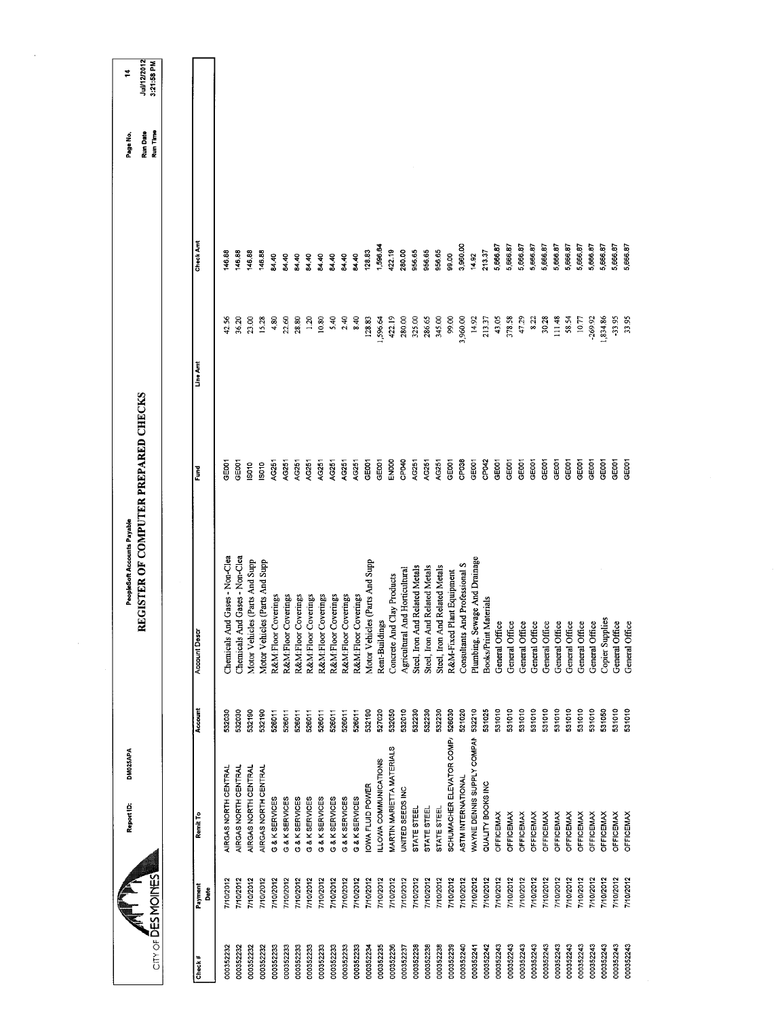|                           |                  | DM025APA<br>Report ID:     |         | PeopleSoft Accounts Payable          |                   |           |          | Page No.                    | ₹                         |
|---------------------------|------------------|----------------------------|---------|--------------------------------------|-------------------|-----------|----------|-----------------------------|---------------------------|
| <b>CITY OF DES MOINES</b> |                  |                            |         | REGISTER OF COMPUTER PREPARED CHECKS |                   |           |          | Run Time<br><b>Run Date</b> | Jul/12/2012<br>3:21:58 PM |
|                           |                  |                            |         |                                      |                   |           |          |                             |                           |
| Payment<br>Check#         | Date             | Remit To                   | Account | <b>Account Descr</b>                 | š                 | Line Am   | Check Am |                             |                           |
| 000352232                 | 7/10/2012        | AIRGAS NORTH CENTRAL       | 532030  | Chemicals And Gases - Non-Clea       | GE001             | 42.56     | 146.88   |                             |                           |
| 000352232                 | 7/10/2012        | AIRGAS NORTH CENTRAL       | 532030  | Themicals And Gases - Non-Clea       | GEOOT             | 36.20     | 146.88   |                             |                           |
| 000352232                 | 7/10/2012        | AIRGAS NORTH CENTRAL       | 532190  | es (Parts And Supp<br>Motor Vehicl   | IS010             | 23.00     | 146.88   |                             |                           |
| 000352232                 | 7/10/2012        | AIRGAS NORTH CENTRAL       | 532190  | les (Parts And Supp<br>Motor Vehicl  | <b>SO10</b>       | 15.28     | 146.88   |                             |                           |
| 000352233                 | 7/10/2012        | G & K SERVICES             | 526011  | R&M:Floor Coverings                  | AG251             | 4,80      | 84.40    |                             |                           |
| 000352233                 | 7/10/2012        | G & K SERVICES             | 526011  | R&M:Floor Coverings                  | AG251             | 22.60     | 64.40    |                             |                           |
| 000352233                 | 7/10/2012        | G & K SERVICES             | 526011  | R&M:Floor Coverings                  | AG251             | 28.80     | 84.40    |                             |                           |
| 000352233                 | 7/10/2012        | G & K SERVICES             | 526011  | R&M:Floor Coverings                  | AC251             | 1.20      | 84.40    |                             |                           |
| 000352233                 | 7/10/2012        | G & K SERVICES             | 526011  | R&M:Floor Coverings                  | AG251             | 10.80     | 84.40    |                             |                           |
| 000352233                 | 7/10/2012        | G & K SERVICES             | 526011  | R&M:Floor Coverings                  | AG251             | 5.40      | 84.40    |                             |                           |
| 000352233                 | 710/2012         | G & K SERVICES             | 526011  | R&M:Floor Coverings                  | AG251             | 2.40      | 84.40    |                             |                           |
| 000352233                 | 7/10/2012        | G & K SERVICES             | 526011  | R&M:Floor Coverings                  | AG251             | 8.40      | 84.40    |                             |                           |
| 000352234                 | 7/10/2012        | <b>IOWA FLUID POWER</b>    | 532190  | Motor Vehicles (Parts And Supp       | GE001             | 128.83    | 128.83   |                             |                           |
| 000352235                 | 7/10/2012        | ILLOWA COMMUNICATIONS      | 527020  | Rent-Buildings                       | GE001             | 1,596.64  | 1,596.64 |                             |                           |
| 000352236                 | 7/10/2012        | MARTIN MARIETTA MATERIALS  | 532050  | Concrete And Clay Products           | ENOOO             | 422.19    | 422.19   |                             |                           |
| 000352237                 | 7/10/2012        | UNITED SEEDS INC           | 532010  | Agricultural And Horticultural       | CP040             | 280.00    | 280.00   |                             |                           |
| 000352238                 | 710/2012         | <b>STATE STEEL</b>         | 532230  | Steel, Iron And Related Metals       | AG251             | 325.00    | 956.65   |                             |                           |
| 000352238                 | 7/10/2012        | STATE STEEL                | 532230  | Steel, Iron And Related Metals       | AG251             | 286.65    | 956.65   |                             |                           |
| 000352238                 | 7/10/2012        | <b>STATE STEEL</b>         | 532230  | Steel, Iron And Related Metals       | AG251             | 345.00    | 956.65   |                             |                           |
| 000352239                 | 7/10/2012        | SCHUMACHER ELEVATOR COMP/  | 526030  | R&M-Fixed Plant Equipment            | GE <sub>001</sub> | 99.00     | 99.00    |                             |                           |
| 000352240                 | 7/10/2012        | <b>ASTM INTERNATIONAL</b>  | 521020  | Consultants And Professional S       | CP038             | 3,960.00  | 3,960.00 |                             |                           |
| 000352241                 | 7/10/2012        | WAYNE DENNIS SUPPLY COMPAN | 532210  | Plumbing, Sewage And Drainage        | GE001             | 14.92     | 14.92    |                             |                           |
| 000352242                 | 710/2012         | QUALITY BOOKS INC          | 531025  | Books/Print Materials                | CP042             | 213.37    | 213.37   |                             |                           |
| 000352243                 | 7/10/2012        | <b>OFFICEMAX</b>           | 531010  | General Office                       | GE001             | 43.05     | 5,666.87 |                             |                           |
| 000352243                 | 7/10/2012        | OFFICEMAX                  | 531010  | General Office                       | GE001             | 378.58    | 5,666.87 |                             |                           |
| 000352243                 | 7/10/2012        | OFFICEMAX                  | 531010  | General Office                       | GE001             | 47.29     | 5,666.87 |                             |                           |
| 000352243                 | 7/10/2012        | OFFICEMAX                  | 531010  | General Office                       | GE001             | 8.22      | 5,666.87 |                             |                           |
| 000352243                 | 7/10/2012        | OFFICEMAX                  | 531010  | General Office                       | GE001             | 30.28     | 5,666.87 |                             |                           |
| 000352243                 | 7/10/2012        | <b>OFFICEMAX</b>           | 531010  | General Office                       | GE001             | 111.48    | 5,666.87 |                             |                           |
| 000352243                 | 7/10/2012        | OFFICEMAX                  | 531010  | 8<br>General Offic                   | GE001             | 58.54     | 5,666.87 |                             |                           |
| 000352243                 | 7/10/2012        | OFFICEMAX                  | 531010  | General Office                       | GE001             | 10.77     | 5,666.87 |                             |                           |
| 000352243                 | <b>7/10/2012</b> | OFFICEMAX                  | 531010  | General Office                       | GE001             | $-269.92$ | 5,666.87 |                             |                           |
| 000352243                 | 7/10/2012        | OFFICEMAX                  | 531050  | <b>Copier Supplies</b>               | GE001             | 1,834.86  | 5,666.87 |                             |                           |
| 000352243                 | 7/10/2012        | <b>OFFICEMAX</b>           | 531010  | General Office                       | GE001             | $-33.95$  | 5,666.87 |                             |                           |
| 000352243                 | 7/10/2012        | OFFICEMAX                  | 531010  | General Office                       | GE001             | 33.95     | 5,666.87 |                             |                           |
|                           |                  |                            |         |                                      |                   |           |          |                             |                           |